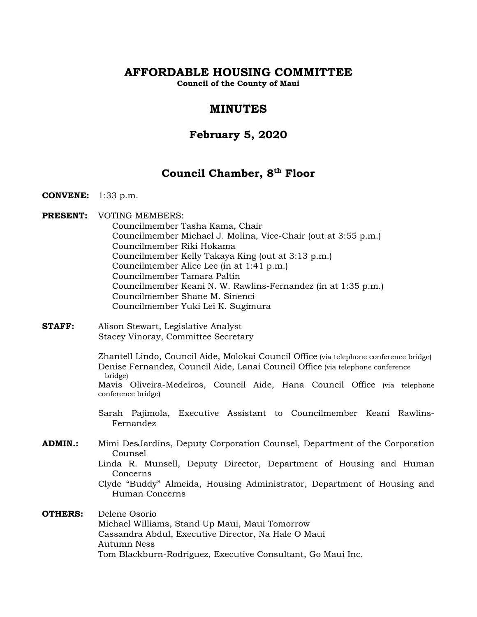# **AFFORDABLE HOUSING COMMITTEE**

**Council of the County of Maui**

# **MINUTES**

# **February 5, 2020**

# **Council Chamber, 8th Floor**

- **CONVENE:** 1:33 p.m.
- **PRESENT:** VOTING MEMBERS:

Councilmember Tasha Kama, Chair Councilmember Michael J. Molina, Vice-Chair (out at 3:55 p.m.) Councilmember Riki Hokama Councilmember Kelly Takaya King (out at 3:13 p.m.) Councilmember Alice Lee (in at 1:41 p.m.) Councilmember Tamara Paltin Councilmember Keani N. W. Rawlins-Fernandez (in at 1:35 p.m.) Councilmember Shane M. Sinenci Councilmember Yuki Lei K. Sugimura

**STAFF:** Alison Stewart, Legislative Analyst Stacey Vinoray, Committee Secretary

> Zhantell Lindo, Council Aide, Molokai Council Office (via telephone conference bridge) Denise Fernandez, Council Aide, Lanai Council Office (via telephone conference bridge)

> Mavis Oliveira-Medeiros, Council Aide, Hana Council Office (via telephone conference bridge)

- Sarah Pajimola, Executive Assistant to Councilmember Keani Rawlins-Fernandez
- **ADMIN.:** Mimi DesJardins, Deputy Corporation Counsel, Department of the Corporation Counsel

Linda R. Munsell, Deputy Director, Department of Housing and Human Concerns

Clyde "Buddy" Almeida, Housing Administrator, Department of Housing and Human Concerns

**OTHERS:** Delene Osorio Michael Williams, Stand Up Maui, Maui Tomorrow Cassandra Abdul, Executive Director, Na Hale O Maui Autumn Ness Tom Blackburn-Rodriguez, Executive Consultant, Go Maui Inc.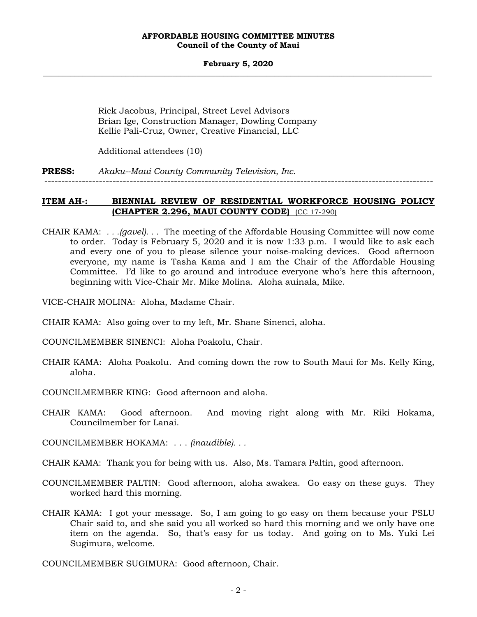#### **February 5, 2020 \_\_\_\_\_\_\_\_\_\_\_\_\_\_\_\_\_\_\_\_\_\_\_\_\_\_\_\_\_\_\_\_\_\_\_\_\_\_\_\_\_\_\_\_\_\_\_\_\_\_\_\_\_\_\_\_\_\_\_\_\_\_\_\_\_\_\_\_\_\_\_\_\_\_\_\_\_\_\_\_\_\_\_\_\_\_\_\_\_\_\_\_\_\_\_\_\_\_\_**

Rick Jacobus, Principal, Street Level Advisors Brian Ige, Construction Manager, Dowling Company Kellie Pali-Cruz, Owner, Creative Financial, LLC

Additional attendees (10)

**PRESS:** *Akaku--Maui County Community Television, Inc.*

------------------------------------------------------------------------------------------------------------------

## **ITEM AH-: BIENNIAL REVIEW OF RESIDENTIAL WORKFORCE HOUSING POLICY (CHAPTER 2.296, MAUI COUNTY CODE)** (CC 17-290)

- CHAIR KAMA: *. . .(gavel). . .* The meeting of the Affordable Housing Committee will now come to order. Today is February 5, 2020 and it is now 1:33 p.m. I would like to ask each and every one of you to please silence your noise-making devices. Good afternoon everyone, my name is Tasha Kama and I am the Chair of the Affordable Housing Committee. I'd like to go around and introduce everyone who's here this afternoon, beginning with Vice-Chair Mr. Mike Molina. Aloha auinala, Mike.
- VICE-CHAIR MOLINA: Aloha, Madame Chair.
- CHAIR KAMA: Also going over to my left, Mr. Shane Sinenci, aloha.
- COUNCILMEMBER SINENCI: Aloha Poakolu, Chair.
- CHAIR KAMA: Aloha Poakolu. And coming down the row to South Maui for Ms. Kelly King, aloha.
- COUNCILMEMBER KING: Good afternoon and aloha.
- CHAIR KAMA: Good afternoon. And moving right along with Mr. Riki Hokama, Councilmember for Lanai.
- COUNCILMEMBER HOKAMA: . . . *(inaudible). . .*
- CHAIR KAMA: Thank you for being with us. Also, Ms. Tamara Paltin, good afternoon.
- COUNCILMEMBER PALTIN: Good afternoon, aloha awakea. Go easy on these guys. They worked hard this morning.
- CHAIR KAMA: I got your message. So, I am going to go easy on them because your PSLU Chair said to, and she said you all worked so hard this morning and we only have one item on the agenda. So, that's easy for us today. And going on to Ms. Yuki Lei Sugimura, welcome.

COUNCILMEMBER SUGIMURA: Good afternoon, Chair.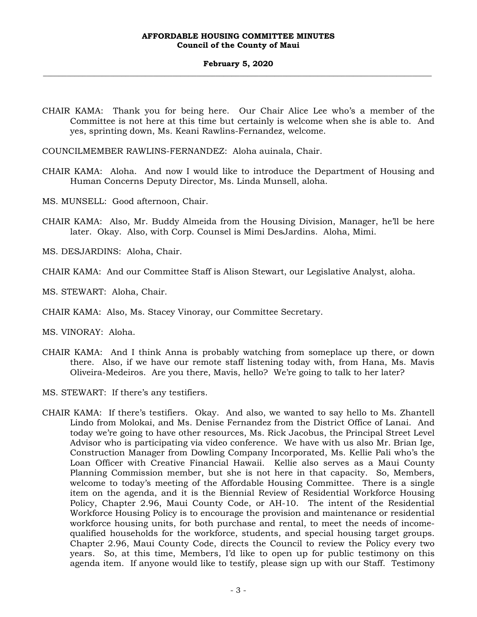#### **February 5, 2020 \_\_\_\_\_\_\_\_\_\_\_\_\_\_\_\_\_\_\_\_\_\_\_\_\_\_\_\_\_\_\_\_\_\_\_\_\_\_\_\_\_\_\_\_\_\_\_\_\_\_\_\_\_\_\_\_\_\_\_\_\_\_\_\_\_\_\_\_\_\_\_\_\_\_\_\_\_\_\_\_\_\_\_\_\_\_\_\_\_\_\_\_\_\_\_\_\_\_\_**

CHAIR KAMA: Thank you for being here. Our Chair Alice Lee who's a member of the Committee is not here at this time but certainly is welcome when she is able to. And yes, sprinting down, Ms. Keani Rawlins-Fernandez, welcome.

COUNCILMEMBER RAWLINS-FERNANDEZ: Aloha auinala, Chair.

- CHAIR KAMA: Aloha. And now I would like to introduce the Department of Housing and Human Concerns Deputy Director, Ms. Linda Munsell, aloha.
- MS. MUNSELL: Good afternoon, Chair.
- CHAIR KAMA: Also, Mr. Buddy Almeida from the Housing Division, Manager, he'll be here later. Okay. Also, with Corp. Counsel is Mimi DesJardins. Aloha, Mimi.
- MS. DESJARDINS: Aloha, Chair.
- CHAIR KAMA: And our Committee Staff is Alison Stewart, our Legislative Analyst, aloha.
- MS. STEWART: Aloha, Chair.
- CHAIR KAMA: Also, Ms. Stacey Vinoray, our Committee Secretary.
- MS. VINORAY: Aloha.
- CHAIR KAMA: And I think Anna is probably watching from someplace up there, or down there. Also, if we have our remote staff listening today with, from Hana, Ms. Mavis Oliveira-Medeiros. Are you there, Mavis, hello? We're going to talk to her later?
- MS. STEWART: If there's any testifiers.
- CHAIR KAMA: If there's testifiers. Okay. And also, we wanted to say hello to Ms. Zhantell Lindo from Molokai, and Ms. Denise Fernandez from the District Office of Lanai. And today we're going to have other resources, Ms. Rick Jacobus, the Principal Street Level Advisor who is participating via video conference. We have with us also Mr. Brian Ige, Construction Manager from Dowling Company Incorporated, Ms. Kellie Pali who's the Loan Officer with Creative Financial Hawaii. Kellie also serves as a Maui County Planning Commission member, but she is not here in that capacity. So, Members, welcome to today's meeting of the Affordable Housing Committee. There is a single item on the agenda, and it is the Biennial Review of Residential Workforce Housing Policy, Chapter 2.96, Maui County Code, or AH-10. The intent of the Residential Workforce Housing Policy is to encourage the provision and maintenance or residential workforce housing units, for both purchase and rental, to meet the needs of incomequalified households for the workforce, students, and special housing target groups. Chapter 2.96, Maui County Code, directs the Council to review the Policy every two years. So, at this time, Members, I'd like to open up for public testimony on this agenda item. If anyone would like to testify, please sign up with our Staff. Testimony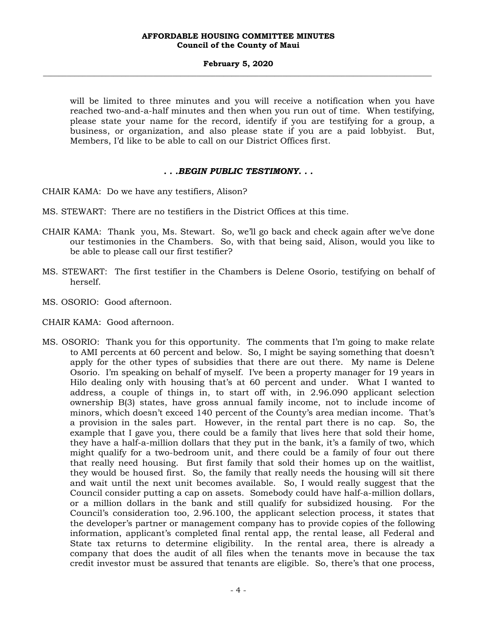#### **February 5, 2020 \_\_\_\_\_\_\_\_\_\_\_\_\_\_\_\_\_\_\_\_\_\_\_\_\_\_\_\_\_\_\_\_\_\_\_\_\_\_\_\_\_\_\_\_\_\_\_\_\_\_\_\_\_\_\_\_\_\_\_\_\_\_\_\_\_\_\_\_\_\_\_\_\_\_\_\_\_\_\_\_\_\_\_\_\_\_\_\_\_\_\_\_\_\_\_\_\_\_\_**

will be limited to three minutes and you will receive a notification when you have reached two-and-a-half minutes and then when you run out of time. When testifying, please state your name for the record, identify if you are testifying for a group, a business, or organization, and also please state if you are a paid lobbyist. But, Members, I'd like to be able to call on our District Offices first.

## *. . .BEGIN PUBLIC TESTIMONY. . .*

CHAIR KAMA: Do we have any testifiers, Alison?

- MS. STEWART: There are no testifiers in the District Offices at this time.
- CHAIR KAMA: Thank you, Ms. Stewart. So, we'll go back and check again after we've done our testimonies in the Chambers. So, with that being said, Alison, would you like to be able to please call our first testifier?
- MS. STEWART: The first testifier in the Chambers is Delene Osorio, testifying on behalf of herself.
- MS. OSORIO: Good afternoon.
- CHAIR KAMA: Good afternoon.
- MS. OSORIO: Thank you for this opportunity. The comments that I'm going to make relate to AMI percents at 60 percent and below. So, I might be saying something that doesn't apply for the other types of subsidies that there are out there. My name is Delene Osorio. I'm speaking on behalf of myself. I've been a property manager for 19 years in Hilo dealing only with housing that's at 60 percent and under. What I wanted to address, a couple of things in, to start off with, in 2.96.090 applicant selection ownership B(3) states, have gross annual family income, not to include income of minors, which doesn't exceed 140 percent of the County's area median income. That's a provision in the sales part. However, in the rental part there is no cap. So, the example that I gave you, there could be a family that lives here that sold their home, they have a half-a-million dollars that they put in the bank, it's a family of two, which might qualify for a two-bedroom unit, and there could be a family of four out there that really need housing. But first family that sold their homes up on the waitlist, they would be housed first. So, the family that really needs the housing will sit there and wait until the next unit becomes available. So, I would really suggest that the Council consider putting a cap on assets. Somebody could have half-a-million dollars, or a million dollars in the bank and still qualify for subsidized housing. For the Council's consideration too, 2.96.100, the applicant selection process, it states that the developer's partner or management company has to provide copies of the following information, applicant's completed final rental app, the rental lease, all Federal and State tax returns to determine eligibility. In the rental area, there is already a company that does the audit of all files when the tenants move in because the tax credit investor must be assured that tenants are eligible. So, there's that one process,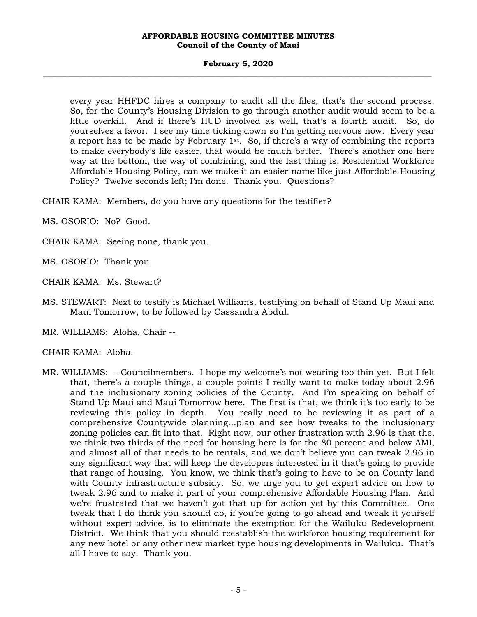#### **February 5, 2020 \_\_\_\_\_\_\_\_\_\_\_\_\_\_\_\_\_\_\_\_\_\_\_\_\_\_\_\_\_\_\_\_\_\_\_\_\_\_\_\_\_\_\_\_\_\_\_\_\_\_\_\_\_\_\_\_\_\_\_\_\_\_\_\_\_\_\_\_\_\_\_\_\_\_\_\_\_\_\_\_\_\_\_\_\_\_\_\_\_\_\_\_\_\_\_\_\_\_\_**

every year HHFDC hires a company to audit all the files, that's the second process. So, for the County's Housing Division to go through another audit would seem to be a little overkill. And if there's HUD involved as well, that's a fourth audit. So, do yourselves a favor. I see my time ticking down so I'm getting nervous now. Every year a report has to be made by February  $1<sup>st</sup>$ . So, if there's a way of combining the reports to make everybody's life easier, that would be much better. There's another one here way at the bottom, the way of combining, and the last thing is, Residential Workforce Affordable Housing Policy, can we make it an easier name like just Affordable Housing Policy? Twelve seconds left; I'm done. Thank you. Questions?

CHAIR KAMA: Members, do you have any questions for the testifier?

- MS. OSORIO: No? Good.
- CHAIR KAMA: Seeing none, thank you.
- MS. OSORIO: Thank you.
- CHAIR KAMA: Ms. Stewart?
- MS. STEWART: Next to testify is Michael Williams, testifying on behalf of Stand Up Maui and Maui Tomorrow, to be followed by Cassandra Abdul.
- MR. WILLIAMS: Aloha, Chair --

## CHAIR KAMA: Aloha.

MR. WILLIAMS: --Councilmembers. I hope my welcome's not wearing too thin yet. But I felt that, there's a couple things, a couple points I really want to make today about 2.96 and the inclusionary zoning policies of the County. And I'm speaking on behalf of Stand Up Maui and Maui Tomorrow here. The first is that, we think it's too early to be reviewing this policy in depth. You really need to be reviewing it as part of a comprehensive Countywide planning…plan and see how tweaks to the inclusionary zoning policies can fit into that. Right now, our other frustration with 2.96 is that the, we think two thirds of the need for housing here is for the 80 percent and below AMI, and almost all of that needs to be rentals, and we don't believe you can tweak 2.96 in any significant way that will keep the developers interested in it that's going to provide that range of housing. You know, we think that's going to have to be on County land with County infrastructure subsidy. So, we urge you to get expert advice on how to tweak 2.96 and to make it part of your comprehensive Affordable Housing Plan. And we're frustrated that we haven't got that up for action yet by this Committee. One tweak that I do think you should do, if you're going to go ahead and tweak it yourself without expert advice, is to eliminate the exemption for the Wailuku Redevelopment District. We think that you should reestablish the workforce housing requirement for any new hotel or any other new market type housing developments in Wailuku. That's all I have to say. Thank you.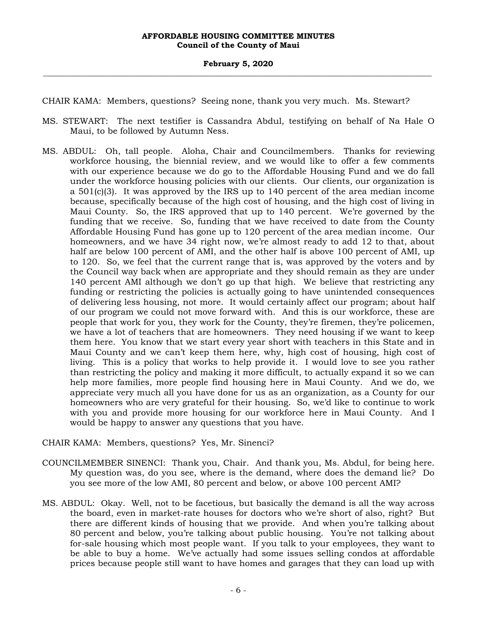CHAIR KAMA: Members, questions? Seeing none, thank you very much. Ms. Stewart?

- MS. STEWART: The next testifier is Cassandra Abdul, testifying on behalf of Na Hale O Maui, to be followed by Autumn Ness.
- MS. ABDUL: Oh, tall people. Aloha, Chair and Councilmembers. Thanks for reviewing workforce housing, the biennial review, and we would like to offer a few comments with our experience because we do go to the Affordable Housing Fund and we do fall under the workforce housing policies with our clients. Our clients, our organization is a  $501(c)(3)$ . It was approved by the IRS up to 140 percent of the area median income because, specifically because of the high cost of housing, and the high cost of living in Maui County. So, the IRS approved that up to 140 percent. We're governed by the funding that we receive. So, funding that we have received to date from the County Affordable Housing Fund has gone up to 120 percent of the area median income. Our homeowners, and we have 34 right now, we're almost ready to add 12 to that, about half are below 100 percent of AMI, and the other half is above 100 percent of AMI, up to 120. So, we feel that the current range that is, was approved by the voters and by the Council way back when are appropriate and they should remain as they are under 140 percent AMI although we don't go up that high. We believe that restricting any funding or restricting the policies is actually going to have unintended consequences of delivering less housing, not more. It would certainly affect our program; about half of our program we could not move forward with. And this is our workforce, these are people that work for you, they work for the County, they're firemen, they're policemen, we have a lot of teachers that are homeowners. They need housing if we want to keep them here. You know that we start every year short with teachers in this State and in Maui County and we can't keep them here, why, high cost of housing, high cost of living. This is a policy that works to help provide it. I would love to see you rather than restricting the policy and making it more difficult, to actually expand it so we can help more families, more people find housing here in Maui County. And we do, we appreciate very much all you have done for us as an organization, as a County for our homeowners who are very grateful for their housing. So, we'd like to continue to work with you and provide more housing for our workforce here in Maui County. And I would be happy to answer any questions that you have.

## CHAIR KAMA: Members, questions? Yes, Mr. Sinenci?

- COUNCILMEMBER SINENCI: Thank you, Chair. And thank you, Ms. Abdul, for being here. My question was, do you see, where is the demand, where does the demand lie? Do you see more of the low AMI, 80 percent and below, or above 100 percent AMI?
- MS. ABDUL: Okay. Well, not to be facetious, but basically the demand is all the way across the board, even in market-rate houses for doctors who we're short of also, right? But there are different kinds of housing that we provide. And when you're talking about 80 percent and below, you're talking about public housing. You're not talking about for-sale housing which most people want. If you talk to your employees, they want to be able to buy a home. We've actually had some issues selling condos at affordable prices because people still want to have homes and garages that they can load up with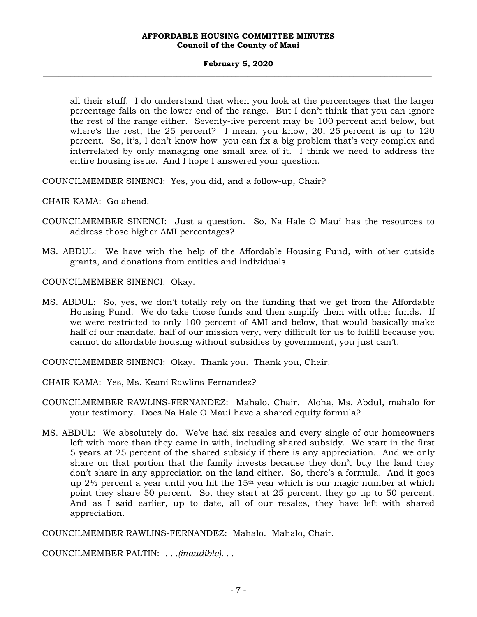#### **February 5, 2020 \_\_\_\_\_\_\_\_\_\_\_\_\_\_\_\_\_\_\_\_\_\_\_\_\_\_\_\_\_\_\_\_\_\_\_\_\_\_\_\_\_\_\_\_\_\_\_\_\_\_\_\_\_\_\_\_\_\_\_\_\_\_\_\_\_\_\_\_\_\_\_\_\_\_\_\_\_\_\_\_\_\_\_\_\_\_\_\_\_\_\_\_\_\_\_\_\_\_\_**

all their stuff. I do understand that when you look at the percentages that the larger percentage falls on the lower end of the range. But I don't think that you can ignore the rest of the range either. Seventy-five percent may be 100 percent and below, but where's the rest, the 25 percent? I mean, you know, 20, 25 percent is up to 120 percent. So, it's, I don't know how you can fix a big problem that's very complex and interrelated by only managing one small area of it. I think we need to address the entire housing issue. And I hope I answered your question.

COUNCILMEMBER SINENCI: Yes, you did, and a follow-up, Chair?

CHAIR KAMA: Go ahead.

- COUNCILMEMBER SINENCI: Just a question. So, Na Hale O Maui has the resources to address those higher AMI percentages?
- MS. ABDUL: We have with the help of the Affordable Housing Fund, with other outside grants, and donations from entities and individuals.

COUNCILMEMBER SINENCI: Okay.

MS. ABDUL: So, yes, we don't totally rely on the funding that we get from the Affordable Housing Fund. We do take those funds and then amplify them with other funds. If we were restricted to only 100 percent of AMI and below, that would basically make half of our mandate, half of our mission very, very difficult for us to fulfill because you cannot do affordable housing without subsidies by government, you just can't.

COUNCILMEMBER SINENCI: Okay. Thank you. Thank you, Chair.

- CHAIR KAMA: Yes, Ms. Keani Rawlins-Fernandez?
- COUNCILMEMBER RAWLINS-FERNANDEZ: Mahalo, Chair. Aloha, Ms. Abdul, mahalo for your testimony. Does Na Hale O Maui have a shared equity formula?
- MS. ABDUL: We absolutely do. We've had six resales and every single of our homeowners left with more than they came in with, including shared subsidy. We start in the first 5 years at 25 percent of the shared subsidy if there is any appreciation. And we only share on that portion that the family invests because they don't buy the land they don't share in any appreciation on the land either. So, there's a formula. And it goes up  $2\frac{1}{2}$  percent a year until you hit the 15<sup>th</sup> year which is our magic number at which point they share 50 percent. So, they start at 25 percent, they go up to 50 percent. And as I said earlier, up to date, all of our resales, they have left with shared appreciation.

COUNCILMEMBER RAWLINS-FERNANDEZ: Mahalo. Mahalo, Chair.

COUNCILMEMBER PALTIN: *. . .(inaudible). . .*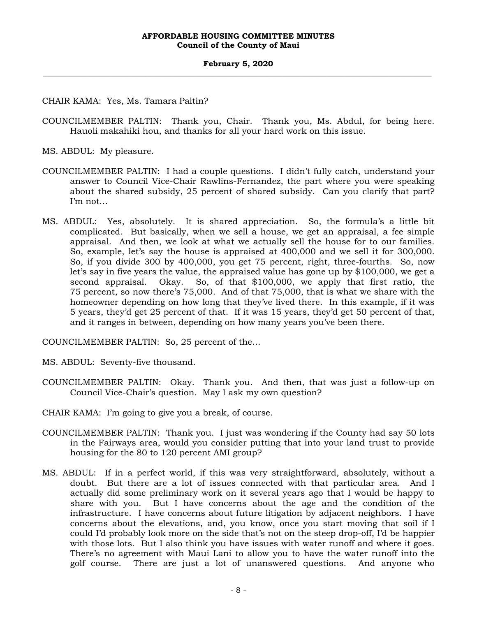CHAIR KAMA: Yes, Ms. Tamara Paltin?

COUNCILMEMBER PALTIN: Thank you, Chair. Thank you, Ms. Abdul, for being here. Hauoli makahiki hou, and thanks for all your hard work on this issue.

MS. ABDUL: My pleasure.

- COUNCILMEMBER PALTIN: I had a couple questions. I didn't fully catch, understand your answer to Council Vice-Chair Rawlins-Fernandez, the part where you were speaking about the shared subsidy, 25 percent of shared subsidy. Can you clarify that part? I'm not…
- MS. ABDUL: Yes, absolutely. It is shared appreciation. So, the formula's a little bit complicated. But basically, when we sell a house, we get an appraisal, a fee simple appraisal. And then, we look at what we actually sell the house for to our families. So, example, let's say the house is appraised at 400,000 and we sell it for 300,000. So, if you divide 300 by 400,000, you get 75 percent, right, three-fourths. So, now let's say in five years the value, the appraised value has gone up by \$100,000, we get a second appraisal. Okay. So, of that \$100,000, we apply that first ratio, the 75 percent, so now there's 75,000. And of that 75,000, that is what we share with the homeowner depending on how long that they've lived there. In this example, if it was 5 years, they'd get 25 percent of that. If it was 15 years, they'd get 50 percent of that, and it ranges in between, depending on how many years you've been there.

COUNCILMEMBER PALTIN: So, 25 percent of the…

MS. ABDUL: Seventy-five thousand.

- COUNCILMEMBER PALTIN: Okay. Thank you. And then, that was just a follow-up on Council Vice-Chair's question. May I ask my own question?
- CHAIR KAMA: I'm going to give you a break, of course.
- COUNCILMEMBER PALTIN: Thank you. I just was wondering if the County had say 50 lots in the Fairways area, would you consider putting that into your land trust to provide housing for the 80 to 120 percent AMI group?
- MS. ABDUL: If in a perfect world, if this was very straightforward, absolutely, without a doubt. But there are a lot of issues connected with that particular area. And I actually did some preliminary work on it several years ago that I would be happy to share with you. But I have concerns about the age and the condition of the infrastructure. I have concerns about future litigation by adjacent neighbors. I have concerns about the elevations, and, you know, once you start moving that soil if I could I'd probably look more on the side that's not on the steep drop-off, I'd be happier with those lots. But I also think you have issues with water runoff and where it goes. There's no agreement with Maui Lani to allow you to have the water runoff into the golf course. There are just a lot of unanswered questions. And anyone who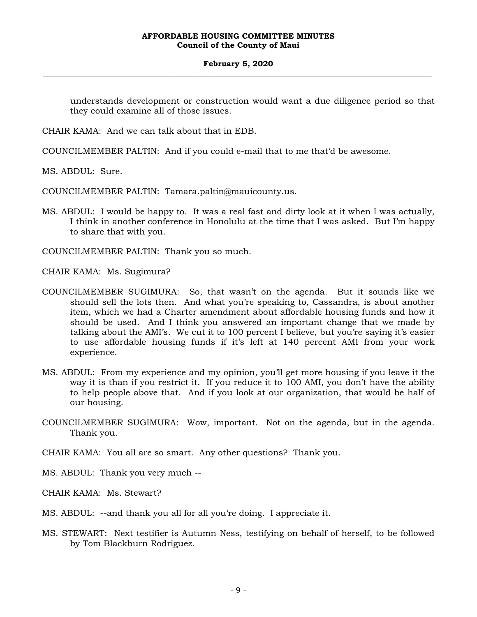#### **February 5, 2020 \_\_\_\_\_\_\_\_\_\_\_\_\_\_\_\_\_\_\_\_\_\_\_\_\_\_\_\_\_\_\_\_\_\_\_\_\_\_\_\_\_\_\_\_\_\_\_\_\_\_\_\_\_\_\_\_\_\_\_\_\_\_\_\_\_\_\_\_\_\_\_\_\_\_\_\_\_\_\_\_\_\_\_\_\_\_\_\_\_\_\_\_\_\_\_\_\_\_\_**

understands development or construction would want a due diligence period so that they could examine all of those issues.

CHAIR KAMA: And we can talk about that in EDB.

COUNCILMEMBER PALTIN: And if you could e-mail that to me that'd be awesome.

MS. ABDUL: Sure.

COUNCILMEMBER PALTIN: Tamara.paltin@mauicounty.us.

MS. ABDUL: I would be happy to. It was a real fast and dirty look at it when I was actually, I think in another conference in Honolulu at the time that I was asked. But I'm happy to share that with you.

COUNCILMEMBER PALTIN: Thank you so much.

CHAIR KAMA: Ms. Sugimura?

- COUNCILMEMBER SUGIMURA: So, that wasn't on the agenda. But it sounds like we should sell the lots then. And what you're speaking to, Cassandra, is about another item, which we had a Charter amendment about affordable housing funds and how it should be used. And I think you answered an important change that we made by talking about the AMI's. We cut it to 100 percent I believe, but you're saying it's easier to use affordable housing funds if it's left at 140 percent AMI from your work experience.
- MS. ABDUL: From my experience and my opinion, you'll get more housing if you leave it the way it is than if you restrict it. If you reduce it to 100 AMI, you don't have the ability to help people above that. And if you look at our organization, that would be half of our housing.
- COUNCILMEMBER SUGIMURA: Wow, important. Not on the agenda, but in the agenda. Thank you.
- CHAIR KAMA: You all are so smart. Any other questions? Thank you.
- MS. ABDUL: Thank you very much --
- CHAIR KAMA: Ms. Stewart?
- MS. ABDUL: --and thank you all for all you're doing. I appreciate it.
- MS. STEWART: Next testifier is Autumn Ness, testifying on behalf of herself, to be followed by Tom Blackburn Rodriguez.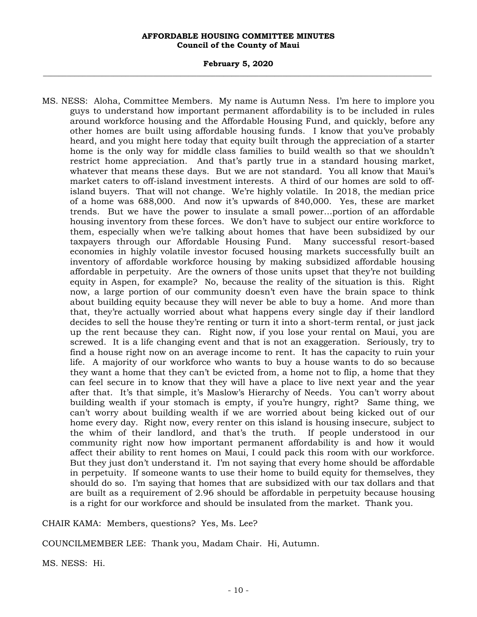#### **February 5, 2020 \_\_\_\_\_\_\_\_\_\_\_\_\_\_\_\_\_\_\_\_\_\_\_\_\_\_\_\_\_\_\_\_\_\_\_\_\_\_\_\_\_\_\_\_\_\_\_\_\_\_\_\_\_\_\_\_\_\_\_\_\_\_\_\_\_\_\_\_\_\_\_\_\_\_\_\_\_\_\_\_\_\_\_\_\_\_\_\_\_\_\_\_\_\_\_\_\_\_\_**

MS. NESS: Aloha, Committee Members. My name is Autumn Ness. I'm here to implore you guys to understand how important permanent affordability is to be included in rules around workforce housing and the Affordable Housing Fund, and quickly, before any other homes are built using affordable housing funds. I know that you've probably heard, and you might here today that equity built through the appreciation of a starter home is the only way for middle class families to build wealth so that we shouldn't restrict home appreciation. And that's partly true in a standard housing market, whatever that means these days. But we are not standard. You all know that Maui's market caters to off-island investment interests. A third of our homes are sold to offisland buyers. That will not change. We're highly volatile. In 2018, the median price of a home was 688,000. And now it's upwards of 840,000. Yes, these are market trends. But we have the power to insulate a small power…portion of an affordable housing inventory from these forces. We don't have to subject our entire workforce to them, especially when we're talking about homes that have been subsidized by our taxpayers through our Affordable Housing Fund. Many successful resort-based economies in highly volatile investor focused housing markets successfully built an inventory of affordable workforce housing by making subsidized affordable housing affordable in perpetuity. Are the owners of those units upset that they're not building equity in Aspen, for example? No, because the reality of the situation is this. Right now, a large portion of our community doesn't even have the brain space to think about building equity because they will never be able to buy a home. And more than that, they're actually worried about what happens every single day if their landlord decides to sell the house they're renting or turn it into a short-term rental, or just jack up the rent because they can. Right now, if you lose your rental on Maui, you are screwed. It is a life changing event and that is not an exaggeration. Seriously, try to find a house right now on an average income to rent. It has the capacity to ruin your life. A majority of our workforce who wants to buy a house wants to do so because they want a home that they can't be evicted from, a home not to flip, a home that they can feel secure in to know that they will have a place to live next year and the year after that. It's that simple, it's Maslow's Hierarchy of Needs. You can't worry about building wealth if your stomach is empty, if you're hungry, right? Same thing, we can't worry about building wealth if we are worried about being kicked out of our home every day. Right now, every renter on this island is housing insecure, subject to the whim of their landlord, and that's the truth. If people understood in our community right now how important permanent affordability is and how it would affect their ability to rent homes on Maui, I could pack this room with our workforce. But they just don't understand it. I'm not saying that every home should be affordable in perpetuity. If someone wants to use their home to build equity for themselves, they should do so. I'm saying that homes that are subsidized with our tax dollars and that are built as a requirement of 2.96 should be affordable in perpetuity because housing is a right for our workforce and should be insulated from the market. Thank you.

CHAIR KAMA: Members, questions? Yes, Ms. Lee?

COUNCILMEMBER LEE: Thank you, Madam Chair. Hi, Autumn.

MS. NESS: Hi.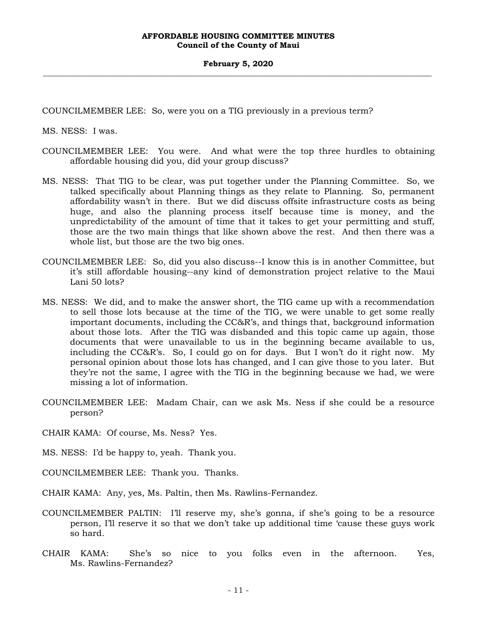COUNCILMEMBER LEE: So, were you on a TIG previously in a previous term?

MS. NESS: I was.

- COUNCILMEMBER LEE: You were. And what were the top three hurdles to obtaining affordable housing did you, did your group discuss?
- MS. NESS: That TIG to be clear, was put together under the Planning Committee. So, we talked specifically about Planning things as they relate to Planning. So, permanent affordability wasn't in there. But we did discuss offsite infrastructure costs as being huge, and also the planning process itself because time is money, and the unpredictability of the amount of time that it takes to get your permitting and stuff, those are the two main things that like shown above the rest. And then there was a whole list, but those are the two big ones.
- COUNCILMEMBER LEE: So, did you also discuss--I know this is in another Committee, but it's still affordable housing--any kind of demonstration project relative to the Maui Lani 50 lots?
- MS. NESS: We did, and to make the answer short, the TIG came up with a recommendation to sell those lots because at the time of the TIG, we were unable to get some really important documents, including the CC&R's, and things that, background information about those lots. After the TIG was disbanded and this topic came up again, those documents that were unavailable to us in the beginning became available to us, including the CC&R's. So, I could go on for days. But I won't do it right now. My personal opinion about those lots has changed, and I can give those to you later. But they're not the same, I agree with the TIG in the beginning because we had, we were missing a lot of information.
- COUNCILMEMBER LEE: Madam Chair, can we ask Ms. Ness if she could be a resource person?
- CHAIR KAMA: Of course, Ms. Ness? Yes.
- MS. NESS: I'd be happy to, yeah. Thank you.
- COUNCILMEMBER LEE: Thank you. Thanks.
- CHAIR KAMA: Any, yes, Ms. Paltin, then Ms. Rawlins-Fernandez.
- COUNCILMEMBER PALTIN: I'll reserve my, she's gonna, if she's going to be a resource person, I'll reserve it so that we don't take up additional time 'cause these guys work so hard.
- CHAIR KAMA: She's so nice to you folks even in the afternoon. Yes, Ms. Rawlins-Fernandez?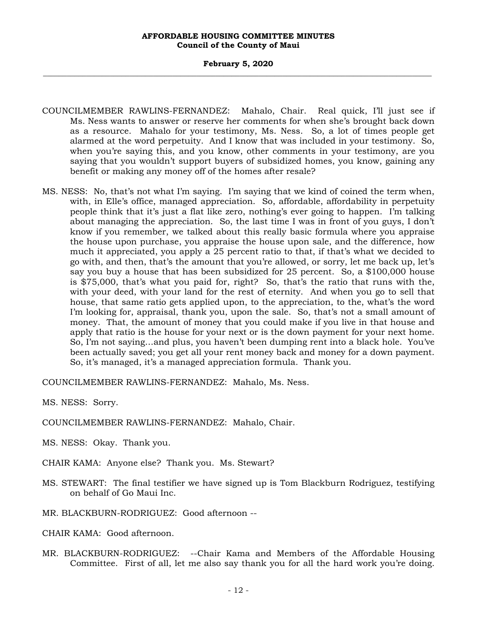- COUNCILMEMBER RAWLINS-FERNANDEZ: Mahalo, Chair. Real quick, I'll just see if Ms. Ness wants to answer or reserve her comments for when she's brought back down as a resource. Mahalo for your testimony, Ms. Ness. So, a lot of times people get alarmed at the word perpetuity. And I know that was included in your testimony. So, when you're saying this, and you know, other comments in your testimony, are you saying that you wouldn't support buyers of subsidized homes, you know, gaining any benefit or making any money off of the homes after resale?
- MS. NESS: No, that's not what I'm saying. I'm saying that we kind of coined the term when, with, in Elle's office, managed appreciation. So, affordable, affordability in perpetuity people think that it's just a flat like zero, nothing's ever going to happen. I'm talking about managing the appreciation. So, the last time I was in front of you guys, I don't know if you remember, we talked about this really basic formula where you appraise the house upon purchase, you appraise the house upon sale, and the difference, how much it appreciated, you apply a 25 percent ratio to that, if that's what we decided to go with, and then, that's the amount that you're allowed, or sorry, let me back up, let's say you buy a house that has been subsidized for 25 percent. So, a \$100,000 house is \$75,000, that's what you paid for, right? So, that's the ratio that runs with the, with your deed, with your land for the rest of eternity. And when you go to sell that house, that same ratio gets applied upon, to the appreciation, to the, what's the word I'm looking for, appraisal, thank you, upon the sale. So, that's not a small amount of money. That, the amount of money that you could make if you live in that house and apply that ratio is the house for your next or is the down payment for your next home. So, I'm not saying…and plus, you haven't been dumping rent into a black hole. You've been actually saved; you get all your rent money back and money for a down payment. So, it's managed, it's a managed appreciation formula. Thank you.

COUNCILMEMBER RAWLINS-FERNANDEZ: Mahalo, Ms. Ness.

MS. NESS: Sorry.

COUNCILMEMBER RAWLINS-FERNANDEZ: Mahalo, Chair.

MS. NESS: Okay. Thank you.

- CHAIR KAMA: Anyone else? Thank you. Ms. Stewart?
- MS. STEWART: The final testifier we have signed up is Tom Blackburn Rodriguez, testifying on behalf of Go Maui Inc.
- MR. BLACKBURN-RODRIGUEZ: Good afternoon --

CHAIR KAMA: Good afternoon.

MR. BLACKBURN-RODRIGUEZ: --Chair Kama and Members of the Affordable Housing Committee. First of all, let me also say thank you for all the hard work you're doing.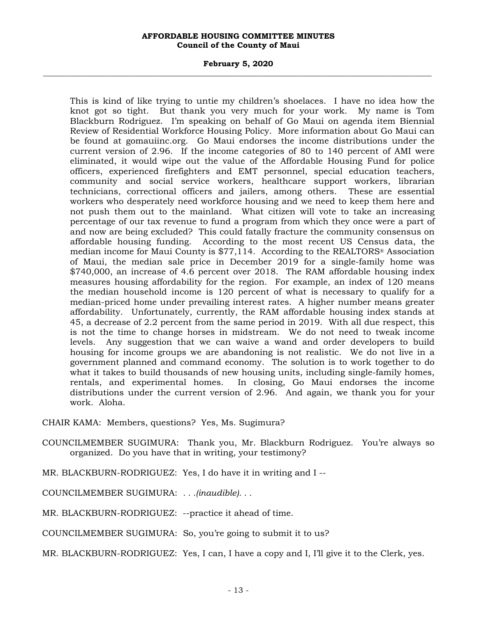#### **February 5, 2020 \_\_\_\_\_\_\_\_\_\_\_\_\_\_\_\_\_\_\_\_\_\_\_\_\_\_\_\_\_\_\_\_\_\_\_\_\_\_\_\_\_\_\_\_\_\_\_\_\_\_\_\_\_\_\_\_\_\_\_\_\_\_\_\_\_\_\_\_\_\_\_\_\_\_\_\_\_\_\_\_\_\_\_\_\_\_\_\_\_\_\_\_\_\_\_\_\_\_\_**

This is kind of like trying to untie my children's shoelaces. I have no idea how the knot got so tight. But thank you very much for your work. My name is Tom Blackburn Rodriguez. I'm speaking on behalf of Go Maui on agenda item Biennial Review of Residential Workforce Housing Policy. More information about Go Maui can be found at gomauiinc.org. Go Maui endorses the income distributions under the current version of 2.96. If the income categories of 80 to 140 percent of AMI were eliminated, it would wipe out the value of the Affordable Housing Fund for police officers, experienced firefighters and EMT personnel, special education teachers, community and social service workers, healthcare support workers, librarian technicians, correctional officers and jailers, among others. These are essential workers who desperately need workforce housing and we need to keep them here and not push them out to the mainland. What citizen will vote to take an increasing percentage of our tax revenue to fund a program from which they once were a part of and now are being excluded? This could fatally fracture the community consensus on affordable housing funding. According to the most recent US Census data, the median income for Maui County is \$77,114. According to the REALTORS® Association of Maui, the median sale price in December 2019 for a single-family home was \$740,000, an increase of 4.6 percent over 2018. The RAM affordable housing index measures housing affordability for the region. For example, an index of 120 means the median household income is 120 percent of what is necessary to qualify for a median-priced home under prevailing interest rates. A higher number means greater affordability. Unfortunately, currently, the RAM affordable housing index stands at 45, a decrease of 2.2 percent from the same period in 2019. With all due respect, this is not the time to change horses in midstream. We do not need to tweak income levels. Any suggestion that we can waive a wand and order developers to build housing for income groups we are abandoning is not realistic. We do not live in a government planned and command economy. The solution is to work together to do what it takes to build thousands of new housing units, including single-family homes, rentals, and experimental homes. In closing, Go Maui endorses the income distributions under the current version of 2.96. And again, we thank you for your work. Aloha.

CHAIR KAMA: Members, questions? Yes, Ms. Sugimura?

- COUNCILMEMBER SUGIMURA: Thank you, Mr. Blackburn Rodriguez. You're always so organized. Do you have that in writing, your testimony?
- MR. BLACKBURN-RODRIGUEZ: Yes, I do have it in writing and I --
- COUNCILMEMBER SUGIMURA: *. . .(inaudible). . .*
- MR. BLACKBURN-RODRIGUEZ: --practice it ahead of time.
- COUNCILMEMBER SUGIMURA: So, you're going to submit it to us?
- MR. BLACKBURN-RODRIGUEZ: Yes, I can, I have a copy and I, I'll give it to the Clerk, yes.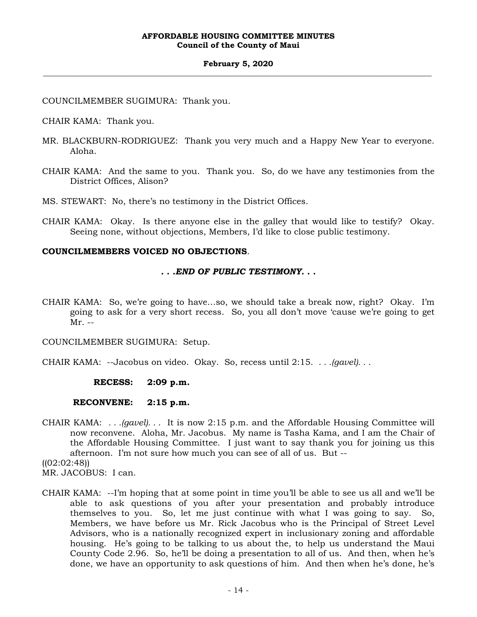#### **February 5, 2020 \_\_\_\_\_\_\_\_\_\_\_\_\_\_\_\_\_\_\_\_\_\_\_\_\_\_\_\_\_\_\_\_\_\_\_\_\_\_\_\_\_\_\_\_\_\_\_\_\_\_\_\_\_\_\_\_\_\_\_\_\_\_\_\_\_\_\_\_\_\_\_\_\_\_\_\_\_\_\_\_\_\_\_\_\_\_\_\_\_\_\_\_\_\_\_\_\_\_\_**

COUNCILMEMBER SUGIMURA: Thank you.

CHAIR KAMA: Thank you.

- MR. BLACKBURN-RODRIGUEZ: Thank you very much and a Happy New Year to everyone. Aloha.
- CHAIR KAMA: And the same to you. Thank you. So, do we have any testimonies from the District Offices, Alison?

MS. STEWART: No, there's no testimony in the District Offices.

CHAIR KAMA: Okay. Is there anyone else in the galley that would like to testify? Okay. Seeing none, without objections, Members, I'd like to close public testimony.

#### **COUNCILMEMBERS VOICED NO OBJECTIONS**.

#### *. . .END OF PUBLIC TESTIMONY. . .*

CHAIR KAMA: So, we're going to have…so, we should take a break now, right? Okay. I'm going to ask for a very short recess. So, you all don't move 'cause we're going to get  $Mr. --$ 

COUNCILMEMBER SUGIMURA: Setup.

CHAIR KAMA: --Jacobus on video. Okay. So, recess until 2:15. *. . .(gavel). . .*

#### **RECESS: 2:09 p.m.**

#### **RECONVENE: 2:15 p.m.**

CHAIR KAMA: *. . .(gavel). . .* It is now 2:15 p.m. and the Affordable Housing Committee will now reconvene. Aloha, Mr. Jacobus. My name is Tasha Kama, and I am the Chair of the Affordable Housing Committee. I just want to say thank you for joining us this afternoon. I'm not sure how much you can see of all of us. But --

CHAIR KAMA: --I'm hoping that at some point in time you'll be able to see us all and we'll be able to ask questions of you after your presentation and probably introduce themselves to you. So, let me just continue with what I was going to say. So, Members, we have before us Mr. Rick Jacobus who is the Principal of Street Level Advisors, who is a nationally recognized expert in inclusionary zoning and affordable housing. He's going to be talking to us about the, to help us understand the Maui County Code 2.96. So, he'll be doing a presentation to all of us. And then, when he's done, we have an opportunity to ask questions of him. And then when he's done, he's

 $((02:02:48))$ 

MR. JACOBUS: I can.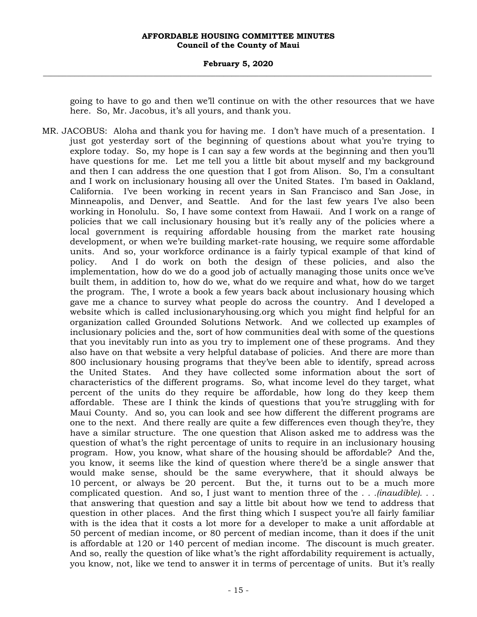#### **February 5, 2020 \_\_\_\_\_\_\_\_\_\_\_\_\_\_\_\_\_\_\_\_\_\_\_\_\_\_\_\_\_\_\_\_\_\_\_\_\_\_\_\_\_\_\_\_\_\_\_\_\_\_\_\_\_\_\_\_\_\_\_\_\_\_\_\_\_\_\_\_\_\_\_\_\_\_\_\_\_\_\_\_\_\_\_\_\_\_\_\_\_\_\_\_\_\_\_\_\_\_\_**

going to have to go and then we'll continue on with the other resources that we have here. So, Mr. Jacobus, it's all yours, and thank you.

MR. JACOBUS: Aloha and thank you for having me. I don't have much of a presentation. I just got yesterday sort of the beginning of questions about what you're trying to explore today. So, my hope is I can say a few words at the beginning and then you'll have questions for me. Let me tell you a little bit about myself and my background and then I can address the one question that I got from Alison. So, I'm a consultant and I work on inclusionary housing all over the United States. I'm based in Oakland, California. I've been working in recent years in San Francisco and San Jose, in Minneapolis, and Denver, and Seattle. And for the last few years I've also been working in Honolulu. So, I have some context from Hawaii. And I work on a range of policies that we call inclusionary housing but it's really any of the policies where a local government is requiring affordable housing from the market rate housing development, or when we're building market-rate housing, we require some affordable units. And so, your workforce ordinance is a fairly typical example of that kind of policy. And I do work on both the design of these policies, and also the implementation, how do we do a good job of actually managing those units once we've built them, in addition to, how do we, what do we require and what, how do we target the program. The, I wrote a book a few years back about inclusionary housing which gave me a chance to survey what people do across the country. And I developed a website which is called inclusionaryhousing.org which you might find helpful for an organization called Grounded Solutions Network. And we collected up examples of inclusionary policies and the, sort of how communities deal with some of the questions that you inevitably run into as you try to implement one of these programs. And they also have on that website a very helpful database of policies. And there are more than 800 inclusionary housing programs that they've been able to identify, spread across the United States. And they have collected some information about the sort of characteristics of the different programs. So, what income level do they target, what percent of the units do they require be affordable, how long do they keep them affordable. These are I think the kinds of questions that you're struggling with for Maui County. And so, you can look and see how different the different programs are one to the next. And there really are quite a few differences even though they're, they have a similar structure. The one question that Alison asked me to address was the question of what's the right percentage of units to require in an inclusionary housing program. How, you know, what share of the housing should be affordable? And the, you know, it seems like the kind of question where there'd be a single answer that would make sense, should be the same everywhere, that it should always be 10 percent, or always be 20 percent. But the, it turns out to be a much more complicated question. And so, I just want to mention three of the *. . .(inaudible). . .* that answering that question and say a little bit about how we tend to address that question in other places. And the first thing which I suspect you're all fairly familiar with is the idea that it costs a lot more for a developer to make a unit affordable at 50 percent of median income, or 80 percent of median income, than it does if the unit is affordable at 120 or 140 percent of median income. The discount is much greater. And so, really the question of like what's the right affordability requirement is actually, you know, not, like we tend to answer it in terms of percentage of units. But it's really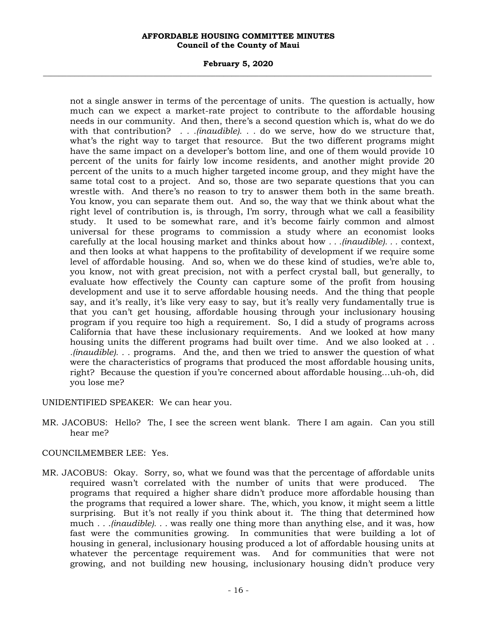#### **February 5, 2020 \_\_\_\_\_\_\_\_\_\_\_\_\_\_\_\_\_\_\_\_\_\_\_\_\_\_\_\_\_\_\_\_\_\_\_\_\_\_\_\_\_\_\_\_\_\_\_\_\_\_\_\_\_\_\_\_\_\_\_\_\_\_\_\_\_\_\_\_\_\_\_\_\_\_\_\_\_\_\_\_\_\_\_\_\_\_\_\_\_\_\_\_\_\_\_\_\_\_\_**

not a single answer in terms of the percentage of units. The question is actually, how much can we expect a market-rate project to contribute to the affordable housing needs in our community. And then, there's a second question which is, what do we do with that contribution? *. . .(inaudible). . .* do we serve, how do we structure that, what's the right way to target that resource. But the two different programs might have the same impact on a developer's bottom line, and one of them would provide 10 percent of the units for fairly low income residents, and another might provide 20 percent of the units to a much higher targeted income group, and they might have the same total cost to a project. And so, those are two separate questions that you can wrestle with. And there's no reason to try to answer them both in the same breath. You know, you can separate them out. And so, the way that we think about what the right level of contribution is, is through, I'm sorry, through what we call a feasibility study. It used to be somewhat rare, and it's become fairly common and almost universal for these programs to commission a study where an economist looks carefully at the local housing market and thinks about how *. . .(inaudible). . .* context, and then looks at what happens to the profitability of development if we require some level of affordable housing. And so, when we do these kind of studies, we're able to, you know, not with great precision, not with a perfect crystal ball, but generally, to evaluate how effectively the County can capture some of the profit from housing development and use it to serve affordable housing needs. And the thing that people say, and it's really, it's like very easy to say, but it's really very fundamentally true is that you can't get housing, affordable housing through your inclusionary housing program if you require too high a requirement. So, I did a study of programs across California that have these inclusionary requirements. And we looked at how many housing units the different programs had built over time. And we also looked at *. . .(inaudible). . .* programs. And the, and then we tried to answer the question of what were the characteristics of programs that produced the most affordable housing units, right? Because the question if you're concerned about affordable housing…uh-oh, did you lose me?

UNIDENTIFIED SPEAKER: We can hear you.

MR. JACOBUS: Hello? The, I see the screen went blank. There I am again. Can you still hear me?

## COUNCILMEMBER LEE: Yes.

MR. JACOBUS: Okay. Sorry, so, what we found was that the percentage of affordable units required wasn't correlated with the number of units that were produced. programs that required a higher share didn't produce more affordable housing than the programs that required a lower share. The, which, you know, it might seem a little surprising. But it's not really if you think about it. The thing that determined how much *. . .(inaudible). . .* was really one thing more than anything else, and it was, how fast were the communities growing. In communities that were building a lot of housing in general, inclusionary housing produced a lot of affordable housing units at whatever the percentage requirement was. And for communities that were not growing, and not building new housing, inclusionary housing didn't produce very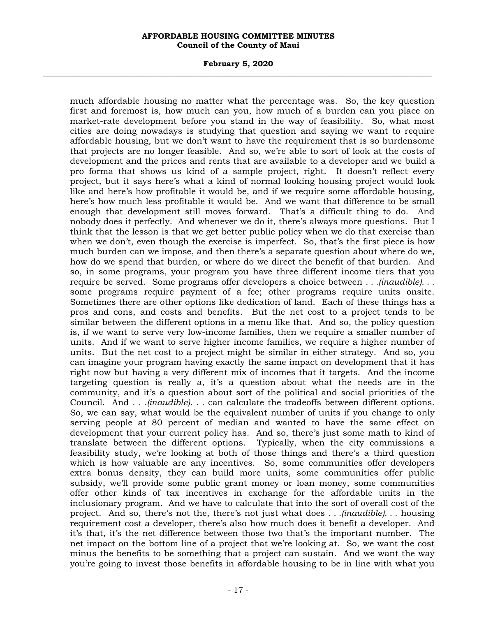#### **February 5, 2020 \_\_\_\_\_\_\_\_\_\_\_\_\_\_\_\_\_\_\_\_\_\_\_\_\_\_\_\_\_\_\_\_\_\_\_\_\_\_\_\_\_\_\_\_\_\_\_\_\_\_\_\_\_\_\_\_\_\_\_\_\_\_\_\_\_\_\_\_\_\_\_\_\_\_\_\_\_\_\_\_\_\_\_\_\_\_\_\_\_\_\_\_\_\_\_\_\_\_\_**

much affordable housing no matter what the percentage was. So, the key question first and foremost is, how much can you, how much of a burden can you place on market-rate development before you stand in the way of feasibility. So, what most cities are doing nowadays is studying that question and saying we want to require affordable housing, but we don't want to have the requirement that is so burdensome that projects are no longer feasible. And so, we're able to sort of look at the costs of development and the prices and rents that are available to a developer and we build a pro forma that shows us kind of a sample project, right. It doesn't reflect every project, but it says here's what a kind of normal looking housing project would look like and here's how profitable it would be, and if we require some affordable housing, here's how much less profitable it would be. And we want that difference to be small enough that development still moves forward. That's a difficult thing to do. And nobody does it perfectly. And whenever we do it, there's always more questions. But I think that the lesson is that we get better public policy when we do that exercise than when we don't, even though the exercise is imperfect. So, that's the first piece is how much burden can we impose, and then there's a separate question about where do we, how do we spend that burden, or where do we direct the benefit of that burden. And so, in some programs, your program you have three different income tiers that you require be served. Some programs offer developers a choice between *. . .(inaudible). . .* some programs require payment of a fee; other programs require units onsite. Sometimes there are other options like dedication of land. Each of these things has a pros and cons, and costs and benefits. But the net cost to a project tends to be similar between the different options in a menu like that. And so, the policy question is, if we want to serve very low-income families, then we require a smaller number of units. And if we want to serve higher income families, we require a higher number of units. But the net cost to a project might be similar in either strategy. And so, you can imagine your program having exactly the same impact on development that it has right now but having a very different mix of incomes that it targets. And the income targeting question is really a, it's a question about what the needs are in the community, and it's a question about sort of the political and social priorities of the Council. And *. . .(inaudible). . .* can calculate the tradeoffs between different options. So, we can say, what would be the equivalent number of units if you change to only serving people at 80 percent of median and wanted to have the same effect on development that your current policy has. And so, there's just some math to kind of translate between the different options. Typically, when the city commissions a feasibility study, we're looking at both of those things and there's a third question which is how valuable are any incentives. So, some communities offer developers extra bonus density, they can build more units, some communities offer public subsidy, we'll provide some public grant money or loan money, some communities offer other kinds of tax incentives in exchange for the affordable units in the inclusionary program. And we have to calculate that into the sort of overall cost of the project. And so, there's not the, there's not just what does *. . .(inaudible). . .* housing requirement cost a developer, there's also how much does it benefit a developer. And it's that, it's the net difference between those two that's the important number. The net impact on the bottom line of a project that we're looking at. So, we want the cost minus the benefits to be something that a project can sustain. And we want the way you're going to invest those benefits in affordable housing to be in line with what you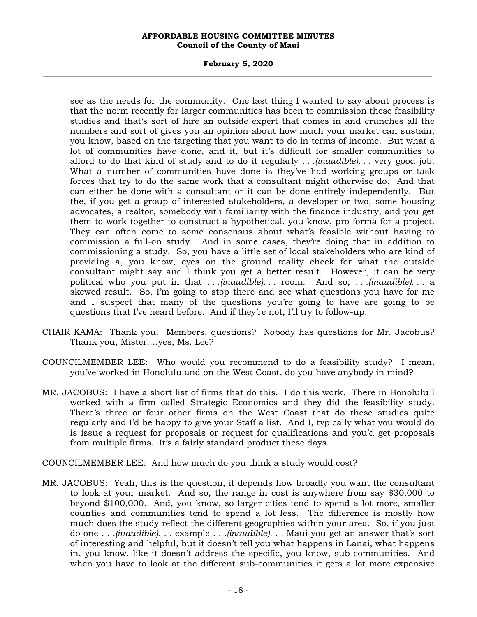#### **February 5, 2020 \_\_\_\_\_\_\_\_\_\_\_\_\_\_\_\_\_\_\_\_\_\_\_\_\_\_\_\_\_\_\_\_\_\_\_\_\_\_\_\_\_\_\_\_\_\_\_\_\_\_\_\_\_\_\_\_\_\_\_\_\_\_\_\_\_\_\_\_\_\_\_\_\_\_\_\_\_\_\_\_\_\_\_\_\_\_\_\_\_\_\_\_\_\_\_\_\_\_\_**

see as the needs for the community. One last thing I wanted to say about process is that the norm recently for larger communities has been to commission these feasibility studies and that's sort of hire an outside expert that comes in and crunches all the numbers and sort of gives you an opinion about how much your market can sustain, you know, based on the targeting that you want to do in terms of income. But what a lot of communities have done, and it, but it's difficult for smaller communities to afford to do that kind of study and to do it regularly *. . .(inaudible). . .* very good job. What a number of communities have done is they've had working groups or task forces that try to do the same work that a consultant might otherwise do. And that can either be done with a consultant or it can be done entirely independently. But the, if you get a group of interested stakeholders, a developer or two, some housing advocates, a realtor, somebody with familiarity with the finance industry, and you get them to work together to construct a hypothetical, you know, pro forma for a project. They can often come to some consensus about what's feasible without having to commission a full-on study. And in some cases, they're doing that in addition to commissioning a study. So, you have a little set of local stakeholders who are kind of providing a, you know, eyes on the ground reality check for what the outside consultant might say and I think you get a better result. However, it can be very political who you put in that *. . .(inaudible). . .* room. And so, *. . .(inaudible). . .* a skewed result. So, I'm going to stop there and see what questions you have for me and I suspect that many of the questions you're going to have are going to be questions that I've heard before. And if they're not, I'll try to follow-up.

- CHAIR KAMA: Thank you. Members, questions? Nobody has questions for Mr. Jacobus? Thank you, Mister.…yes, Ms. Lee?
- COUNCILMEMBER LEE: Who would you recommend to do a feasibility study? I mean, you've worked in Honolulu and on the West Coast, do you have anybody in mind?
- MR. JACOBUS: I have a short list of firms that do this. I do this work. There in Honolulu I worked with a firm called Strategic Economics and they did the feasibility study. There's three or four other firms on the West Coast that do these studies quite regularly and I'd be happy to give your Staff a list. And I, typically what you would do is issue a request for proposals or request for qualifications and you'd get proposals from multiple firms. It's a fairly standard product these days.

COUNCILMEMBER LEE: And how much do you think a study would cost?

MR. JACOBUS: Yeah, this is the question, it depends how broadly you want the consultant to look at your market. And so, the range in cost is anywhere from say \$30,000 to beyond \$100,000. And, you know, so larger cities tend to spend a lot more, smaller counties and communities tend to spend a lot less. The difference is mostly how much does the study reflect the different geographies within your area. So, if you just do one *. . .(inaudible). . .* example *. . .(inaudible). . .* Maui you get an answer that's sort of interesting and helpful, but it doesn't tell you what happens in Lanai, what happens in, you know, like it doesn't address the specific, you know, sub-communities. And when you have to look at the different sub-communities it gets a lot more expensive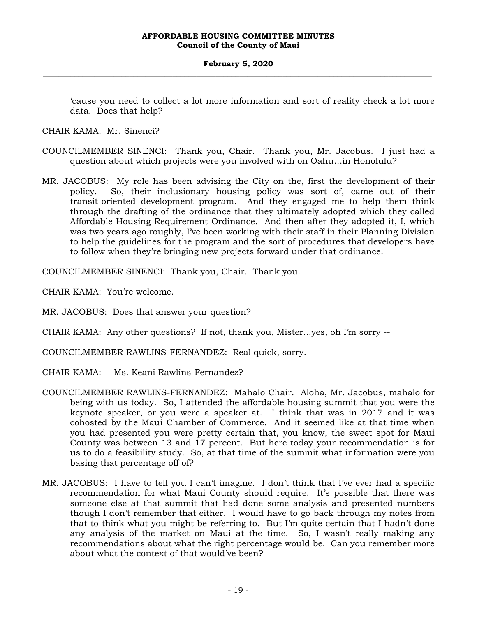'cause you need to collect a lot more information and sort of reality check a lot more data. Does that help?

CHAIR KAMA: Mr. Sinenci?

- COUNCILMEMBER SINENCI: Thank you, Chair. Thank you, Mr. Jacobus. I just had a question about which projects were you involved with on Oahu…in Honolulu?
- MR. JACOBUS: My role has been advising the City on the, first the development of their policy. So, their inclusionary housing policy was sort of, came out of their transit-oriented development program. And they engaged me to help them think through the drafting of the ordinance that they ultimately adopted which they called Affordable Housing Requirement Ordinance. And then after they adopted it, I, which was two years ago roughly, I've been working with their staff in their Planning Division to help the guidelines for the program and the sort of procedures that developers have to follow when they're bringing new projects forward under that ordinance.

COUNCILMEMBER SINENCI: Thank you, Chair. Thank you.

CHAIR KAMA: You're welcome.

MR. JACOBUS: Does that answer your question?

CHAIR KAMA: Any other questions? If not, thank you, Mister...yes, oh I'm sorry --

COUNCILMEMBER RAWLINS-FERNANDEZ: Real quick, sorry.

- CHAIR KAMA: --Ms. Keani Rawlins-Fernandez?
- COUNCILMEMBER RAWLINS-FERNANDEZ: Mahalo Chair. Aloha, Mr. Jacobus, mahalo for being with us today. So, I attended the affordable housing summit that you were the keynote speaker, or you were a speaker at. I think that was in 2017 and it was cohosted by the Maui Chamber of Commerce. And it seemed like at that time when you had presented you were pretty certain that, you know, the sweet spot for Maui County was between 13 and 17 percent. But here today your recommendation is for us to do a feasibility study. So, at that time of the summit what information were you basing that percentage off of?
- MR. JACOBUS: I have to tell you I can't imagine. I don't think that I've ever had a specific recommendation for what Maui County should require. It's possible that there was someone else at that summit that had done some analysis and presented numbers though I don't remember that either. I would have to go back through my notes from that to think what you might be referring to. But I'm quite certain that I hadn't done any analysis of the market on Maui at the time. So, I wasn't really making any recommendations about what the right percentage would be. Can you remember more about what the context of that would've been?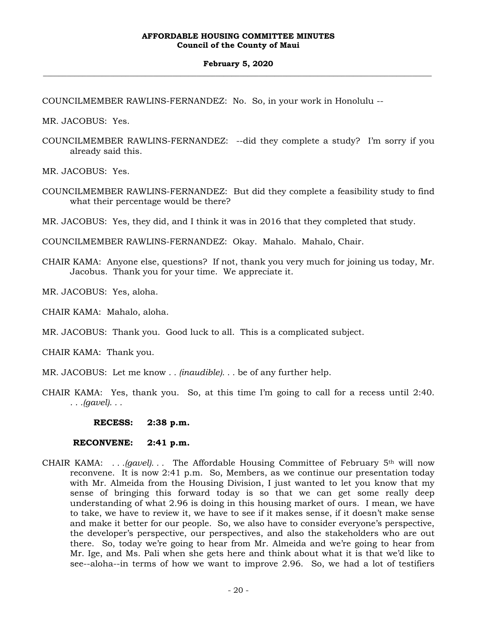#### **February 5, 2020 \_\_\_\_\_\_\_\_\_\_\_\_\_\_\_\_\_\_\_\_\_\_\_\_\_\_\_\_\_\_\_\_\_\_\_\_\_\_\_\_\_\_\_\_\_\_\_\_\_\_\_\_\_\_\_\_\_\_\_\_\_\_\_\_\_\_\_\_\_\_\_\_\_\_\_\_\_\_\_\_\_\_\_\_\_\_\_\_\_\_\_\_\_\_\_\_\_\_\_**

COUNCILMEMBER RAWLINS-FERNANDEZ: No. So, in your work in Honolulu --

MR. JACOBUS: Yes.

COUNCILMEMBER RAWLINS-FERNANDEZ: --did they complete a study? I'm sorry if you already said this.

MR. JACOBUS: Yes.

COUNCILMEMBER RAWLINS-FERNANDEZ: But did they complete a feasibility study to find what their percentage would be there?

MR. JACOBUS: Yes, they did, and I think it was in 2016 that they completed that study.

COUNCILMEMBER RAWLINS-FERNANDEZ: Okay. Mahalo. Mahalo, Chair.

CHAIR KAMA: Anyone else, questions? If not, thank you very much for joining us today, Mr. Jacobus. Thank you for your time. We appreciate it.

MR. JACOBUS: Yes, aloha.

CHAIR KAMA: Mahalo, aloha.

MR. JACOBUS: Thank you. Good luck to all. This is a complicated subject.

CHAIR KAMA: Thank you.

MR. JACOBUS: Let me know *. . (inaudible). . .* be of any further help.

CHAIR KAMA: Yes, thank you. So, at this time I'm going to call for a recess until 2:40. *. . .(gavel). . .*

**RECESS: 2:38 p.m.**

#### **RECONVENE: 2:41 p.m.**

CHAIR KAMA: *. . .(gavel). . .* The Affordable Housing Committee of February 5th will now reconvene. It is now 2:41 p.m. So, Members, as we continue our presentation today with Mr. Almeida from the Housing Division, I just wanted to let you know that my sense of bringing this forward today is so that we can get some really deep understanding of what 2.96 is doing in this housing market of ours. I mean, we have to take, we have to review it, we have to see if it makes sense, if it doesn't make sense and make it better for our people. So, we also have to consider everyone's perspective, the developer's perspective, our perspectives, and also the stakeholders who are out there. So, today we're going to hear from Mr. Almeida and we're going to hear from Mr. Ige, and Ms. Pali when she gets here and think about what it is that we'd like to see--aloha--in terms of how we want to improve 2.96. So, we had a lot of testifiers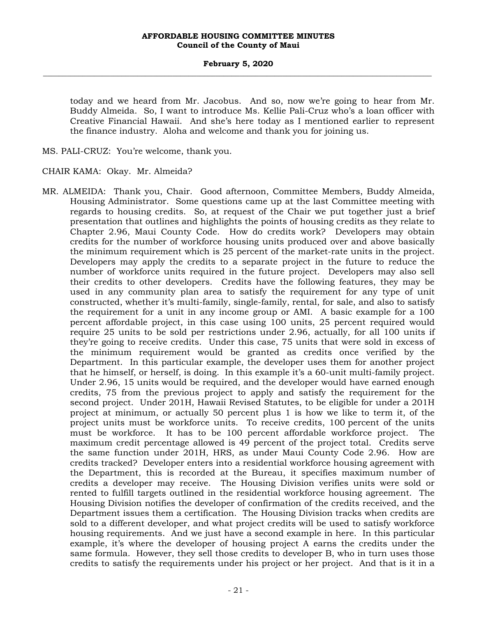today and we heard from Mr. Jacobus. And so, now we're going to hear from Mr. Buddy Almeida. So, I want to introduce Ms. Kellie Pali-Cruz who's a loan officer with Creative Financial Hawaii. And she's here today as I mentioned earlier to represent the finance industry. Aloha and welcome and thank you for joining us.

MS. PALI-CRUZ: You're welcome, thank you.

CHAIR KAMA: Okay. Mr. Almeida?

MR. ALMEIDA: Thank you, Chair. Good afternoon, Committee Members, Buddy Almeida, Housing Administrator. Some questions came up at the last Committee meeting with regards to housing credits. So, at request of the Chair we put together just a brief presentation that outlines and highlights the points of housing credits as they relate to Chapter 2.96, Maui County Code. How do credits work? Developers may obtain credits for the number of workforce housing units produced over and above basically the minimum requirement which is 25 percent of the market-rate units in the project. Developers may apply the credits to a separate project in the future to reduce the number of workforce units required in the future project. Developers may also sell their credits to other developers. Credits have the following features, they may be used in any community plan area to satisfy the requirement for any type of unit constructed, whether it's multi-family, single-family, rental, for sale, and also to satisfy the requirement for a unit in any income group or AMI. A basic example for a 100 percent affordable project, in this case using 100 units, 25 percent required would require 25 units to be sold per restrictions under 2.96, actually, for all 100 units if they're going to receive credits. Under this case, 75 units that were sold in excess of the minimum requirement would be granted as credits once verified by the Department. In this particular example, the developer uses them for another project that he himself, or herself, is doing. In this example it's a 60-unit multi-family project. Under 2.96, 15 units would be required, and the developer would have earned enough credits, 75 from the previous project to apply and satisfy the requirement for the second project. Under 201H, Hawaii Revised Statutes, to be eligible for under a 201H project at minimum, or actually 50 percent plus 1 is how we like to term it, of the project units must be workforce units. To receive credits, 100 percent of the units must be workforce. It has to be 100 percent affordable workforce project. The maximum credit percentage allowed is 49 percent of the project total. Credits serve the same function under 201H, HRS, as under Maui County Code 2.96. How are credits tracked? Developer enters into a residential workforce housing agreement with the Department, this is recorded at the Bureau, it specifies maximum number of credits a developer may receive. The Housing Division verifies units were sold or rented to fulfill targets outlined in the residential workforce housing agreement. The Housing Division notifies the developer of confirmation of the credits received, and the Department issues them a certification. The Housing Division tracks when credits are sold to a different developer, and what project credits will be used to satisfy workforce housing requirements. And we just have a second example in here. In this particular example, it's where the developer of housing project A earns the credits under the same formula. However, they sell those credits to developer B, who in turn uses those credits to satisfy the requirements under his project or her project. And that is it in a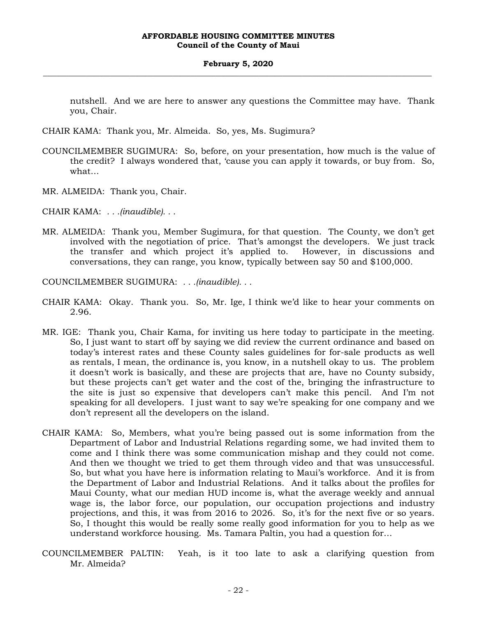nutshell. And we are here to answer any questions the Committee may have. Thank you, Chair.

CHAIR KAMA: Thank you, Mr. Almeida. So, yes, Ms. Sugimura?

- COUNCILMEMBER SUGIMURA: So, before, on your presentation, how much is the value of the credit? I always wondered that, 'cause you can apply it towards, or buy from. So, what…
- MR. ALMEIDA: Thank you, Chair.
- CHAIR KAMA: *. . .(inaudible). . .*
- MR. ALMEIDA: Thank you, Member Sugimura, for that question. The County, we don't get involved with the negotiation of price. That's amongst the developers. We just track the transfer and which project it's applied to. However, in discussions and conversations, they can range, you know, typically between say 50 and \$100,000.
- COUNCILMEMBER SUGIMURA: *. . .(inaudible). . .*
- CHAIR KAMA: Okay. Thank you. So, Mr. Ige, I think we'd like to hear your comments on 2.96.
- MR. IGE: Thank you, Chair Kama, for inviting us here today to participate in the meeting. So, I just want to start off by saying we did review the current ordinance and based on today's interest rates and these County sales guidelines for for-sale products as well as rentals, I mean, the ordinance is, you know, in a nutshell okay to us. The problem it doesn't work is basically, and these are projects that are, have no County subsidy, but these projects can't get water and the cost of the, bringing the infrastructure to the site is just so expensive that developers can't make this pencil. And I'm not speaking for all developers. I just want to say we're speaking for one company and we don't represent all the developers on the island.
- CHAIR KAMA: So, Members, what you're being passed out is some information from the Department of Labor and Industrial Relations regarding some, we had invited them to come and I think there was some communication mishap and they could not come. And then we thought we tried to get them through video and that was unsuccessful. So, but what you have here is information relating to Maui's workforce. And it is from the Department of Labor and Industrial Relations. And it talks about the profiles for Maui County, what our median HUD income is, what the average weekly and annual wage is, the labor force, our population, our occupation projections and industry projections, and this, it was from 2016 to 2026. So, it's for the next five or so years. So, I thought this would be really some really good information for you to help as we understand workforce housing. Ms. Tamara Paltin, you had a question for…
- COUNCILMEMBER PALTIN: Yeah, is it too late to ask a clarifying question from Mr. Almeida?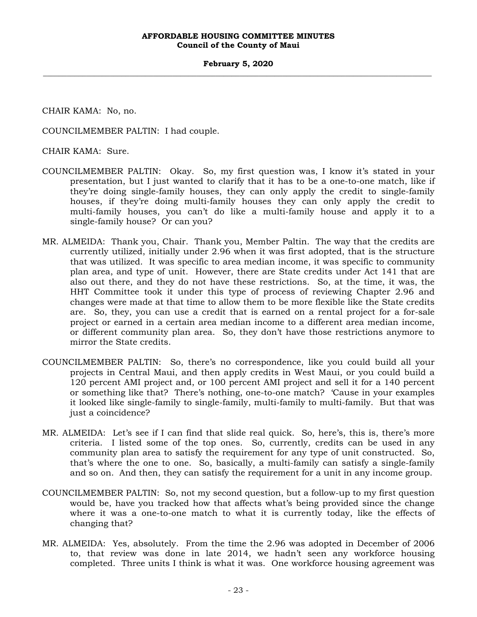#### **February 5, 2020 \_\_\_\_\_\_\_\_\_\_\_\_\_\_\_\_\_\_\_\_\_\_\_\_\_\_\_\_\_\_\_\_\_\_\_\_\_\_\_\_\_\_\_\_\_\_\_\_\_\_\_\_\_\_\_\_\_\_\_\_\_\_\_\_\_\_\_\_\_\_\_\_\_\_\_\_\_\_\_\_\_\_\_\_\_\_\_\_\_\_\_\_\_\_\_\_\_\_\_**

CHAIR KAMA: No, no.

COUNCILMEMBER PALTIN: I had couple.

CHAIR KAMA: Sure.

- COUNCILMEMBER PALTIN: Okay. So, my first question was, I know it's stated in your presentation, but I just wanted to clarify that it has to be a one-to-one match, like if they're doing single-family houses, they can only apply the credit to single-family houses, if they're doing multi-family houses they can only apply the credit to multi-family houses, you can't do like a multi-family house and apply it to a single-family house? Or can you?
- MR. ALMEIDA: Thank you, Chair. Thank you, Member Paltin. The way that the credits are currently utilized, initially under 2.96 when it was first adopted, that is the structure that was utilized. It was specific to area median income, it was specific to community plan area, and type of unit. However, there are State credits under Act 141 that are also out there, and they do not have these restrictions. So, at the time, it was, the HHT Committee took it under this type of process of reviewing Chapter 2.96 and changes were made at that time to allow them to be more flexible like the State credits are. So, they, you can use a credit that is earned on a rental project for a for-sale project or earned in a certain area median income to a different area median income, or different community plan area. So, they don't have those restrictions anymore to mirror the State credits.
- COUNCILMEMBER PALTIN: So, there's no correspondence, like you could build all your projects in Central Maui, and then apply credits in West Maui, or you could build a 120 percent AMI project and, or 100 percent AMI project and sell it for a 140 percent or something like that? There's nothing, one-to-one match? 'Cause in your examples it looked like single-family to single-family, multi-family to multi-family. But that was just a coincidence?
- MR. ALMEIDA: Let's see if I can find that slide real quick. So, here's, this is, there's more criteria. I listed some of the top ones. So, currently, credits can be used in any community plan area to satisfy the requirement for any type of unit constructed. So, that's where the one to one. So, basically, a multi-family can satisfy a single-family and so on. And then, they can satisfy the requirement for a unit in any income group.
- COUNCILMEMBER PALTIN: So, not my second question, but a follow-up to my first question would be, have you tracked how that affects what's being provided since the change where it was a one-to-one match to what it is currently today, like the effects of changing that?
- MR. ALMEIDA: Yes, absolutely. From the time the 2.96 was adopted in December of 2006 to, that review was done in late 2014, we hadn't seen any workforce housing completed. Three units I think is what it was. One workforce housing agreement was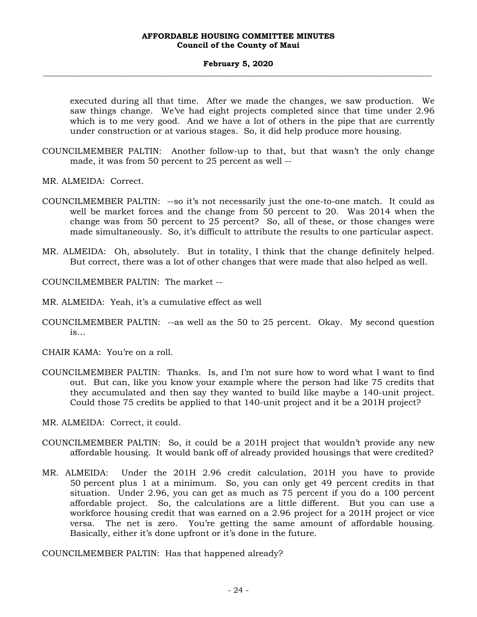#### **February 5, 2020 \_\_\_\_\_\_\_\_\_\_\_\_\_\_\_\_\_\_\_\_\_\_\_\_\_\_\_\_\_\_\_\_\_\_\_\_\_\_\_\_\_\_\_\_\_\_\_\_\_\_\_\_\_\_\_\_\_\_\_\_\_\_\_\_\_\_\_\_\_\_\_\_\_\_\_\_\_\_\_\_\_\_\_\_\_\_\_\_\_\_\_\_\_\_\_\_\_\_\_**

executed during all that time. After we made the changes, we saw production. We saw things change. We've had eight projects completed since that time under 2.96 which is to me very good. And we have a lot of others in the pipe that are currently under construction or at various stages. So, it did help produce more housing.

- COUNCILMEMBER PALTIN: Another follow-up to that, but that wasn't the only change made, it was from 50 percent to 25 percent as well --
- MR. ALMEIDA: Correct.
- COUNCILMEMBER PALTIN: --so it's not necessarily just the one-to-one match. It could as well be market forces and the change from 50 percent to 20. Was 2014 when the change was from 50 percent to 25 percent? So, all of these, or those changes were made simultaneously. So, it's difficult to attribute the results to one particular aspect.
- MR. ALMEIDA: Oh, absolutely. But in totality, I think that the change definitely helped. But correct, there was a lot of other changes that were made that also helped as well.

COUNCILMEMBER PALTIN: The market --

- MR. ALMEIDA: Yeah, it's a cumulative effect as well
- COUNCILMEMBER PALTIN: --as well as the 50 to 25 percent. Okay. My second question is…

CHAIR KAMA: You're on a roll.

- COUNCILMEMBER PALTIN: Thanks. Is, and I'm not sure how to word what I want to find out. But can, like you know your example where the person had like 75 credits that they accumulated and then say they wanted to build like maybe a 140-unit project. Could those 75 credits be applied to that 140-unit project and it be a 201H project?
- MR. ALMEIDA: Correct, it could.
- COUNCILMEMBER PALTIN: So, it could be a 201H project that wouldn't provide any new affordable housing. It would bank off of already provided housings that were credited?
- MR. ALMEIDA: Under the 201H 2.96 credit calculation, 201H you have to provide 50 percent plus 1 at a minimum. So, you can only get 49 percent credits in that situation. Under 2.96, you can get as much as 75 percent if you do a 100 percent affordable project. So, the calculations are a little different. But you can use a workforce housing credit that was earned on a 2.96 project for a 201H project or vice versa. The net is zero. You're getting the same amount of affordable housing. Basically, either it's done upfront or it's done in the future.

COUNCILMEMBER PALTIN: Has that happened already?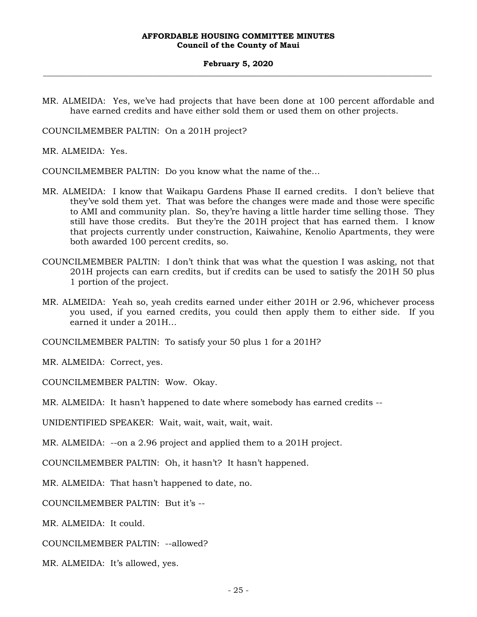#### **February 5, 2020 \_\_\_\_\_\_\_\_\_\_\_\_\_\_\_\_\_\_\_\_\_\_\_\_\_\_\_\_\_\_\_\_\_\_\_\_\_\_\_\_\_\_\_\_\_\_\_\_\_\_\_\_\_\_\_\_\_\_\_\_\_\_\_\_\_\_\_\_\_\_\_\_\_\_\_\_\_\_\_\_\_\_\_\_\_\_\_\_\_\_\_\_\_\_\_\_\_\_\_**

MR. ALMEIDA: Yes, we've had projects that have been done at 100 percent affordable and have earned credits and have either sold them or used them on other projects.

COUNCILMEMBER PALTIN: On a 201H project?

MR. ALMEIDA: Yes.

COUNCILMEMBER PALTIN: Do you know what the name of the…

- MR. ALMEIDA: I know that Waikapu Gardens Phase II earned credits. I don't believe that they've sold them yet. That was before the changes were made and those were specific to AMI and community plan. So, they're having a little harder time selling those. They still have those credits. But they're the 201H project that has earned them. I know that projects currently under construction, Kaiwahine, Kenolio Apartments, they were both awarded 100 percent credits, so.
- COUNCILMEMBER PALTIN: I don't think that was what the question I was asking, not that 201H projects can earn credits, but if credits can be used to satisfy the 201H 50 plus 1 portion of the project.
- MR. ALMEIDA: Yeah so, yeah credits earned under either 201H or 2.96, whichever process you used, if you earned credits, you could then apply them to either side. If you earned it under a 201H…

COUNCILMEMBER PALTIN: To satisfy your 50 plus 1 for a 201H?

MR. ALMEIDA: Correct, yes.

COUNCILMEMBER PALTIN: Wow. Okay.

MR. ALMEIDA: It hasn't happened to date where somebody has earned credits --

UNIDENTIFIED SPEAKER: Wait, wait, wait, wait, wait.

MR. ALMEIDA: --on a 2.96 project and applied them to a 201H project.

COUNCILMEMBER PALTIN: Oh, it hasn't? It hasn't happened.

MR. ALMEIDA: That hasn't happened to date, no.

COUNCILMEMBER PALTIN: But it's --

MR. ALMEIDA: It could.

COUNCILMEMBER PALTIN: --allowed?

MR. ALMEIDA: It's allowed, yes.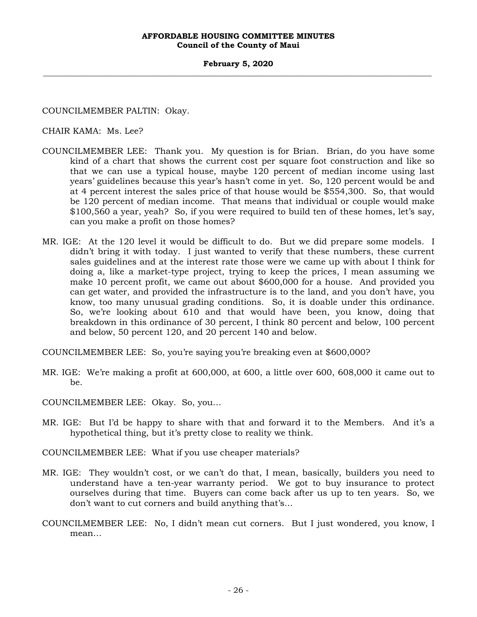#### **February 5, 2020 \_\_\_\_\_\_\_\_\_\_\_\_\_\_\_\_\_\_\_\_\_\_\_\_\_\_\_\_\_\_\_\_\_\_\_\_\_\_\_\_\_\_\_\_\_\_\_\_\_\_\_\_\_\_\_\_\_\_\_\_\_\_\_\_\_\_\_\_\_\_\_\_\_\_\_\_\_\_\_\_\_\_\_\_\_\_\_\_\_\_\_\_\_\_\_\_\_\_\_**

COUNCILMEMBER PALTIN: Okay.

CHAIR KAMA: Ms. Lee?

- COUNCILMEMBER LEE: Thank you. My question is for Brian. Brian, do you have some kind of a chart that shows the current cost per square foot construction and like so that we can use a typical house, maybe 120 percent of median income using last years' guidelines because this year's hasn't come in yet. So, 120 percent would be and at 4 percent interest the sales price of that house would be \$554,300. So, that would be 120 percent of median income. That means that individual or couple would make \$100,560 a year, yeah? So, if you were required to build ten of these homes, let's say, can you make a profit on those homes?
- MR. IGE: At the 120 level it would be difficult to do. But we did prepare some models. I didn't bring it with today. I just wanted to verify that these numbers, these current sales guidelines and at the interest rate those were we came up with about I think for doing a, like a market-type project, trying to keep the prices, I mean assuming we make 10 percent profit, we came out about \$600,000 for a house. And provided you can get water, and provided the infrastructure is to the land, and you don't have, you know, too many unusual grading conditions. So, it is doable under this ordinance. So, we're looking about 610 and that would have been, you know, doing that breakdown in this ordinance of 30 percent, I think 80 percent and below, 100 percent and below, 50 percent 120, and 20 percent 140 and below.

COUNCILMEMBER LEE: So, you're saying you're breaking even at \$600,000?

MR. IGE: We're making a profit at 600,000, at 600, a little over 600, 608,000 it came out to be.

COUNCILMEMBER LEE: Okay. So, you…

MR. IGE: But I'd be happy to share with that and forward it to the Members. And it's a hypothetical thing, but it's pretty close to reality we think.

COUNCILMEMBER LEE: What if you use cheaper materials?

- MR. IGE: They wouldn't cost, or we can't do that, I mean, basically, builders you need to understand have a ten-year warranty period. We got to buy insurance to protect ourselves during that time. Buyers can come back after us up to ten years. So, we don't want to cut corners and build anything that's…
- COUNCILMEMBER LEE: No, I didn't mean cut corners. But I just wondered, you know, I mean…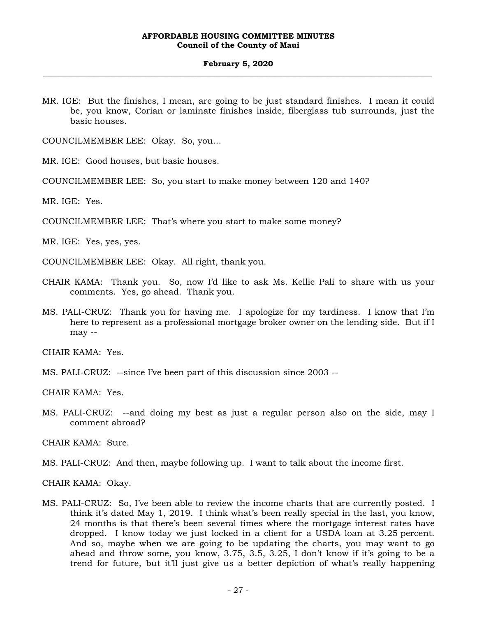MR. IGE: But the finishes, I mean, are going to be just standard finishes. I mean it could be, you know, Corian or laminate finishes inside, fiberglass tub surrounds, just the basic houses.

COUNCILMEMBER LEE: Okay. So, you…

MR. IGE: Good houses, but basic houses.

COUNCILMEMBER LEE: So, you start to make money between 120 and 140?

MR. IGE: Yes.

COUNCILMEMBER LEE: That's where you start to make some money?

MR. IGE: Yes, yes, yes.

COUNCILMEMBER LEE: Okay. All right, thank you.

- CHAIR KAMA: Thank you. So, now I'd like to ask Ms. Kellie Pali to share with us your comments. Yes, go ahead. Thank you.
- MS. PALI-CRUZ: Thank you for having me. I apologize for my tardiness. I know that I'm here to represent as a professional mortgage broker owner on the lending side. But if I may --

CHAIR KAMA: Yes.

MS. PALI-CRUZ: --since I've been part of this discussion since 2003 --

CHAIR KAMA: Yes.

MS. PALI-CRUZ: --and doing my best as just a regular person also on the side, may I comment abroad?

CHAIR KAMA: Sure.

MS. PALI-CRUZ: And then, maybe following up. I want to talk about the income first.

CHAIR KAMA: Okay.

MS. PALI-CRUZ: So, I've been able to review the income charts that are currently posted. I think it's dated May 1, 2019. I think what's been really special in the last, you know, 24 months is that there's been several times where the mortgage interest rates have dropped. I know today we just locked in a client for a USDA loan at 3.25 percent. And so, maybe when we are going to be updating the charts, you may want to go ahead and throw some, you know, 3.75, 3.5, 3.25, I don't know if it's going to be a trend for future, but it'll just give us a better depiction of what's really happening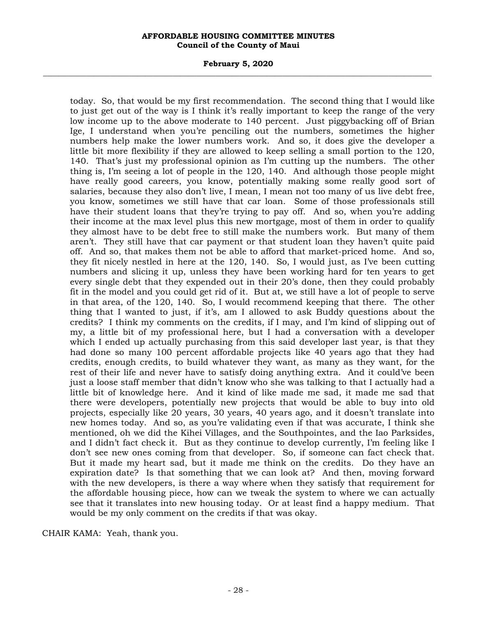#### **February 5, 2020 \_\_\_\_\_\_\_\_\_\_\_\_\_\_\_\_\_\_\_\_\_\_\_\_\_\_\_\_\_\_\_\_\_\_\_\_\_\_\_\_\_\_\_\_\_\_\_\_\_\_\_\_\_\_\_\_\_\_\_\_\_\_\_\_\_\_\_\_\_\_\_\_\_\_\_\_\_\_\_\_\_\_\_\_\_\_\_\_\_\_\_\_\_\_\_\_\_\_\_**

today. So, that would be my first recommendation. The second thing that I would like to just get out of the way is I think it's really important to keep the range of the very low income up to the above moderate to 140 percent. Just piggybacking off of Brian Ige, I understand when you're penciling out the numbers, sometimes the higher numbers help make the lower numbers work. And so, it does give the developer a little bit more flexibility if they are allowed to keep selling a small portion to the 120, 140. That's just my professional opinion as I'm cutting up the numbers. The other thing is, I'm seeing a lot of people in the 120, 140. And although those people might have really good careers, you know, potentially making some really good sort of salaries, because they also don't live, I mean, I mean not too many of us live debt free, you know, sometimes we still have that car loan. Some of those professionals still have their student loans that they're trying to pay off. And so, when you're adding their income at the max level plus this new mortgage, most of them in order to qualify they almost have to be debt free to still make the numbers work. But many of them aren't. They still have that car payment or that student loan they haven't quite paid off. And so, that makes them not be able to afford that market-priced home. And so, they fit nicely nestled in here at the 120, 140. So, I would just, as I've been cutting numbers and slicing it up, unless they have been working hard for ten years to get every single debt that they expended out in their 20's done, then they could probably fit in the model and you could get rid of it. But at, we still have a lot of people to serve in that area, of the 120, 140. So, I would recommend keeping that there. The other thing that I wanted to just, if it's, am I allowed to ask Buddy questions about the credits? I think my comments on the credits, if I may, and I'm kind of slipping out of my, a little bit of my professional here, but I had a conversation with a developer which I ended up actually purchasing from this said developer last year, is that they had done so many 100 percent affordable projects like 40 years ago that they had credits, enough credits, to build whatever they want, as many as they want, for the rest of their life and never have to satisfy doing anything extra. And it could've been just a loose staff member that didn't know who she was talking to that I actually had a little bit of knowledge here. And it kind of like made me sad, it made me sad that there were developers, potentially new projects that would be able to buy into old projects, especially like 20 years, 30 years, 40 years ago, and it doesn't translate into new homes today. And so, as you're validating even if that was accurate, I think she mentioned, oh we did the Kihei Villages, and the Southpointes, and the Iao Parksides, and I didn't fact check it. But as they continue to develop currently, I'm feeling like I don't see new ones coming from that developer. So, if someone can fact check that. But it made my heart sad, but it made me think on the credits. Do they have an expiration date? Is that something that we can look at? And then, moving forward with the new developers, is there a way where when they satisfy that requirement for the affordable housing piece, how can we tweak the system to where we can actually see that it translates into new housing today. Or at least find a happy medium. That would be my only comment on the credits if that was okay.

CHAIR KAMA: Yeah, thank you.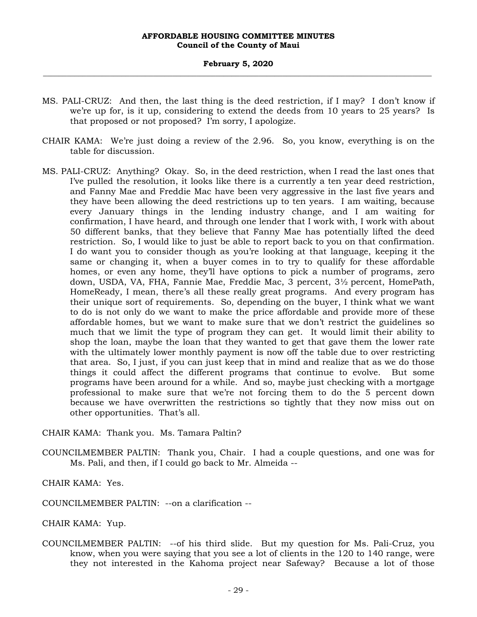- MS. PALI-CRUZ: And then, the last thing is the deed restriction, if I may? I don't know if we're up for, is it up, considering to extend the deeds from 10 years to 25 years? Is that proposed or not proposed? I'm sorry, I apologize.
- CHAIR KAMA: We're just doing a review of the 2.96. So, you know, everything is on the table for discussion.
- MS. PALI-CRUZ: Anything? Okay. So, in the deed restriction, when I read the last ones that I've pulled the resolution, it looks like there is a currently a ten year deed restriction, and Fanny Mae and Freddie Mac have been very aggressive in the last five years and they have been allowing the deed restrictions up to ten years. I am waiting, because every January things in the lending industry change, and I am waiting for confirmation, I have heard, and through one lender that I work with, I work with about 50 different banks, that they believe that Fanny Mae has potentially lifted the deed restriction. So, I would like to just be able to report back to you on that confirmation. I do want you to consider though as you're looking at that language, keeping it the same or changing it, when a buyer comes in to try to qualify for these affordable homes, or even any home, they'll have options to pick a number of programs, zero down, USDA, VA, FHA, Fannie Mae, Freddie Mac, 3 percent, 3½ percent, HomePath, HomeReady, I mean, there's all these really great programs. And every program has their unique sort of requirements. So, depending on the buyer, I think what we want to do is not only do we want to make the price affordable and provide more of these affordable homes, but we want to make sure that we don't restrict the guidelines so much that we limit the type of program they can get. It would limit their ability to shop the loan, maybe the loan that they wanted to get that gave them the lower rate with the ultimately lower monthly payment is now off the table due to over restricting that area. So, I just, if you can just keep that in mind and realize that as we do those things it could affect the different programs that continue to evolve. But some programs have been around for a while. And so, maybe just checking with a mortgage professional to make sure that we're not forcing them to do the 5 percent down because we have overwritten the restrictions so tightly that they now miss out on other opportunities. That's all.

CHAIR KAMA: Thank you. Ms. Tamara Paltin?

COUNCILMEMBER PALTIN: Thank you, Chair. I had a couple questions, and one was for Ms. Pali, and then, if I could go back to Mr. Almeida --

CHAIR KAMA: Yes.

COUNCILMEMBER PALTIN: --on a clarification --

CHAIR KAMA: Yup.

COUNCILMEMBER PALTIN: --of his third slide. But my question for Ms. Pali-Cruz, you know, when you were saying that you see a lot of clients in the 120 to 140 range, were they not interested in the Kahoma project near Safeway? Because a lot of those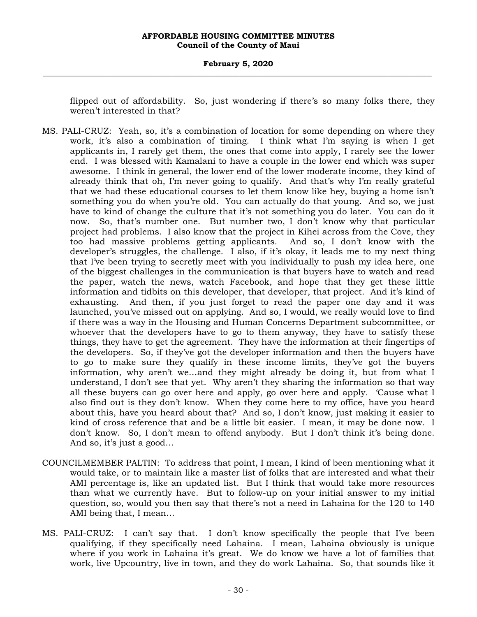#### **February 5, 2020 \_\_\_\_\_\_\_\_\_\_\_\_\_\_\_\_\_\_\_\_\_\_\_\_\_\_\_\_\_\_\_\_\_\_\_\_\_\_\_\_\_\_\_\_\_\_\_\_\_\_\_\_\_\_\_\_\_\_\_\_\_\_\_\_\_\_\_\_\_\_\_\_\_\_\_\_\_\_\_\_\_\_\_\_\_\_\_\_\_\_\_\_\_\_\_\_\_\_\_**

flipped out of affordability. So, just wondering if there's so many folks there, they weren't interested in that?

- MS. PALI-CRUZ: Yeah, so, it's a combination of location for some depending on where they work, it's also a combination of timing. I think what I'm saying is when I get applicants in, I rarely get them, the ones that come into apply, I rarely see the lower end. I was blessed with Kamalani to have a couple in the lower end which was super awesome. I think in general, the lower end of the lower moderate income, they kind of already think that oh, I'm never going to qualify. And that's why I'm really grateful that we had these educational courses to let them know like hey, buying a home isn't something you do when you're old. You can actually do that young. And so, we just have to kind of change the culture that it's not something you do later. You can do it now. So, that's number one. But number two, I don't know why that particular project had problems. I also know that the project in Kihei across from the Cove, they too had massive problems getting applicants. And so, I don't know with the developer's struggles, the challenge. I also, if it's okay, it leads me to my next thing that I've been trying to secretly meet with you individually to push my idea here, one of the biggest challenges in the communication is that buyers have to watch and read the paper, watch the news, watch Facebook, and hope that they get these little information and tidbits on this developer, that developer, that project. And it's kind of exhausting. And then, if you just forget to read the paper one day and it was launched, you've missed out on applying. And so, I would, we really would love to find if there was a way in the Housing and Human Concerns Department subcommittee, or whoever that the developers have to go to them anyway, they have to satisfy these things, they have to get the agreement. They have the information at their fingertips of the developers. So, if they've got the developer information and then the buyers have to go to make sure they qualify in these income limits, they've got the buyers information, why aren't we…and they might already be doing it, but from what I understand, I don't see that yet. Why aren't they sharing the information so that way all these buyers can go over here and apply, go over here and apply. 'Cause what I also find out is they don't know. When they come here to my office, have you heard about this, have you heard about that? And so, I don't know, just making it easier to kind of cross reference that and be a little bit easier. I mean, it may be done now. I don't know. So, I don't mean to offend anybody. But I don't think it's being done. And so, it's just a good…
- COUNCILMEMBER PALTIN: To address that point, I mean, I kind of been mentioning what it would take, or to maintain like a master list of folks that are interested and what their AMI percentage is, like an updated list. But I think that would take more resources than what we currently have. But to follow-up on your initial answer to my initial question, so, would you then say that there's not a need in Lahaina for the 120 to 140 AMI being that, I mean…
- MS. PALI-CRUZ: I can't say that. I don't know specifically the people that I've been qualifying, if they specifically need Lahaina. I mean, Lahaina obviously is unique where if you work in Lahaina it's great. We do know we have a lot of families that work, live Upcountry, live in town, and they do work Lahaina. So, that sounds like it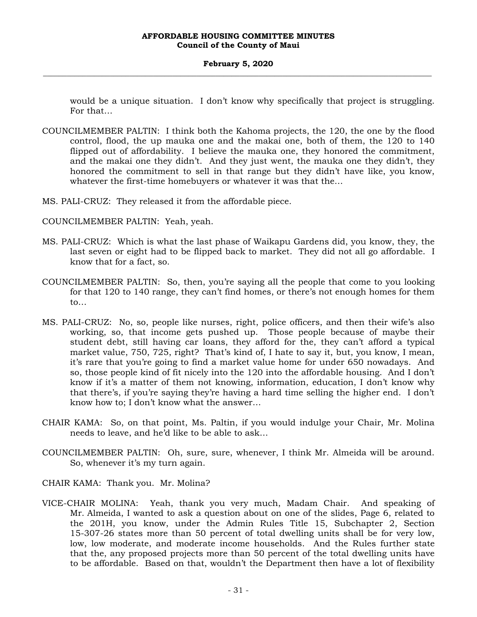would be a unique situation. I don't know why specifically that project is struggling. For that…

- COUNCILMEMBER PALTIN: I think both the Kahoma projects, the 120, the one by the flood control, flood, the up mauka one and the makai one, both of them, the 120 to 140 flipped out of affordability. I believe the mauka one, they honored the commitment, and the makai one they didn't. And they just went, the mauka one they didn't, they honored the commitment to sell in that range but they didn't have like, you know, whatever the first-time homebuyers or whatever it was that the…
- MS. PALI-CRUZ: They released it from the affordable piece.
- COUNCILMEMBER PALTIN: Yeah, yeah.
- MS. PALI-CRUZ: Which is what the last phase of Waikapu Gardens did, you know, they, the last seven or eight had to be flipped back to market. They did not all go affordable. I know that for a fact, so.
- COUNCILMEMBER PALTIN: So, then, you're saying all the people that come to you looking for that 120 to 140 range, they can't find homes, or there's not enough homes for them to…
- MS. PALI-CRUZ: No, so, people like nurses, right, police officers, and then their wife's also working, so, that income gets pushed up. Those people because of maybe their student debt, still having car loans, they afford for the, they can't afford a typical market value, 750, 725, right? That's kind of, I hate to say it, but, you know, I mean, it's rare that you're going to find a market value home for under 650 nowadays. And so, those people kind of fit nicely into the 120 into the affordable housing. And I don't know if it's a matter of them not knowing, information, education, I don't know why that there's, if you're saying they're having a hard time selling the higher end. I don't know how to; I don't know what the answer…
- CHAIR KAMA: So, on that point, Ms. Paltin, if you would indulge your Chair, Mr. Molina needs to leave, and he'd like to be able to ask…
- COUNCILMEMBER PALTIN: Oh, sure, sure, whenever, I think Mr. Almeida will be around. So, whenever it's my turn again.

CHAIR KAMA: Thank you. Mr. Molina?

VICE-CHAIR MOLINA: Yeah, thank you very much, Madam Chair. And speaking of Mr. Almeida, I wanted to ask a question about on one of the slides, Page 6, related to the 201H, you know, under the Admin Rules Title 15, Subchapter 2, Section 15-307-26 states more than 50 percent of total dwelling units shall be for very low, low, low moderate, and moderate income households. And the Rules further state that the, any proposed projects more than 50 percent of the total dwelling units have to be affordable. Based on that, wouldn't the Department then have a lot of flexibility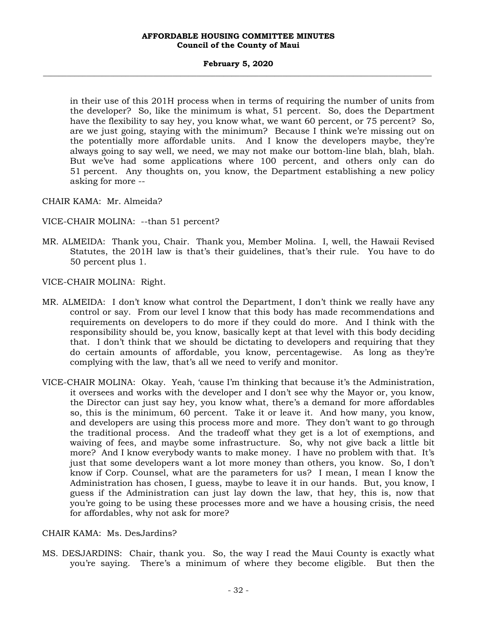#### **February 5, 2020 \_\_\_\_\_\_\_\_\_\_\_\_\_\_\_\_\_\_\_\_\_\_\_\_\_\_\_\_\_\_\_\_\_\_\_\_\_\_\_\_\_\_\_\_\_\_\_\_\_\_\_\_\_\_\_\_\_\_\_\_\_\_\_\_\_\_\_\_\_\_\_\_\_\_\_\_\_\_\_\_\_\_\_\_\_\_\_\_\_\_\_\_\_\_\_\_\_\_\_**

in their use of this 201H process when in terms of requiring the number of units from the developer? So, like the minimum is what, 51 percent. So, does the Department have the flexibility to say hey, you know what, we want 60 percent, or 75 percent? So, are we just going, staying with the minimum? Because I think we're missing out on the potentially more affordable units. And I know the developers maybe, they're always going to say well, we need, we may not make our bottom-line blah, blah, blah. But we've had some applications where 100 percent, and others only can do 51 percent. Any thoughts on, you know, the Department establishing a new policy asking for more --

CHAIR KAMA: Mr. Almeida?

VICE-CHAIR MOLINA: --than 51 percent?

MR. ALMEIDA: Thank you, Chair. Thank you, Member Molina. I, well, the Hawaii Revised Statutes, the 201H law is that's their guidelines, that's their rule. You have to do 50 percent plus 1.

VICE-CHAIR MOLINA: Right.

- MR. ALMEIDA: I don't know what control the Department, I don't think we really have any control or say. From our level I know that this body has made recommendations and requirements on developers to do more if they could do more. And I think with the responsibility should be, you know, basically kept at that level with this body deciding that. I don't think that we should be dictating to developers and requiring that they do certain amounts of affordable, you know, percentagewise. As long as they're complying with the law, that's all we need to verify and monitor.
- VICE-CHAIR MOLINA: Okay. Yeah, 'cause I'm thinking that because it's the Administration, it oversees and works with the developer and I don't see why the Mayor or, you know, the Director can just say hey, you know what, there's a demand for more affordables so, this is the minimum, 60 percent. Take it or leave it. And how many, you know, and developers are using this process more and more. They don't want to go through the traditional process. And the tradeoff what they get is a lot of exemptions, and waiving of fees, and maybe some infrastructure. So, why not give back a little bit more? And I know everybody wants to make money. I have no problem with that. It's just that some developers want a lot more money than others, you know. So, I don't know if Corp. Counsel, what are the parameters for us? I mean, I mean I know the Administration has chosen, I guess, maybe to leave it in our hands. But, you know, I guess if the Administration can just lay down the law, that hey, this is, now that you're going to be using these processes more and we have a housing crisis, the need for affordables, why not ask for more?

## CHAIR KAMA: Ms. DesJardins?

MS. DESJARDINS: Chair, thank you. So, the way I read the Maui County is exactly what you're saying. There's a minimum of where they become eligible. But then the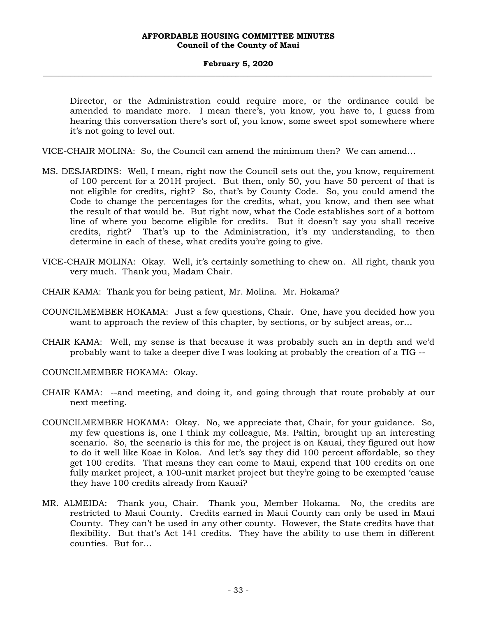#### **February 5, 2020 \_\_\_\_\_\_\_\_\_\_\_\_\_\_\_\_\_\_\_\_\_\_\_\_\_\_\_\_\_\_\_\_\_\_\_\_\_\_\_\_\_\_\_\_\_\_\_\_\_\_\_\_\_\_\_\_\_\_\_\_\_\_\_\_\_\_\_\_\_\_\_\_\_\_\_\_\_\_\_\_\_\_\_\_\_\_\_\_\_\_\_\_\_\_\_\_\_\_\_**

Director, or the Administration could require more, or the ordinance could be amended to mandate more. I mean there's, you know, you have to, I guess from hearing this conversation there's sort of, you know, some sweet spot somewhere where it's not going to level out.

VICE-CHAIR MOLINA: So, the Council can amend the minimum then? We can amend…

- MS. DESJARDINS: Well, I mean, right now the Council sets out the, you know, requirement of 100 percent for a 201H project. But then, only 50, you have 50 percent of that is not eligible for credits, right? So, that's by County Code. So, you could amend the Code to change the percentages for the credits, what, you know, and then see what the result of that would be. But right now, what the Code establishes sort of a bottom line of where you become eligible for credits. But it doesn't say you shall receive credits, right? That's up to the Administration, it's my understanding, to then determine in each of these, what credits you're going to give.
- VICE-CHAIR MOLINA: Okay. Well, it's certainly something to chew on. All right, thank you very much. Thank you, Madam Chair.
- CHAIR KAMA: Thank you for being patient, Mr. Molina. Mr. Hokama?
- COUNCILMEMBER HOKAMA: Just a few questions, Chair. One, have you decided how you want to approach the review of this chapter, by sections, or by subject areas, or…
- CHAIR KAMA: Well, my sense is that because it was probably such an in depth and we'd probably want to take a deeper dive I was looking at probably the creation of a TIG --

COUNCILMEMBER HOKAMA: Okay.

- CHAIR KAMA: --and meeting, and doing it, and going through that route probably at our next meeting.
- COUNCILMEMBER HOKAMA: Okay. No, we appreciate that, Chair, for your guidance. So, my few questions is, one I think my colleague, Ms. Paltin, brought up an interesting scenario. So, the scenario is this for me, the project is on Kauai, they figured out how to do it well like Koae in Koloa. And let's say they did 100 percent affordable, so they get 100 credits. That means they can come to Maui, expend that 100 credits on one fully market project, a 100-unit market project but they're going to be exempted 'cause they have 100 credits already from Kauai?
- MR. ALMEIDA: Thank you, Chair. Thank you, Member Hokama. No, the credits are restricted to Maui County. Credits earned in Maui County can only be used in Maui County. They can't be used in any other county. However, the State credits have that flexibility. But that's Act 141 credits. They have the ability to use them in different counties. But for…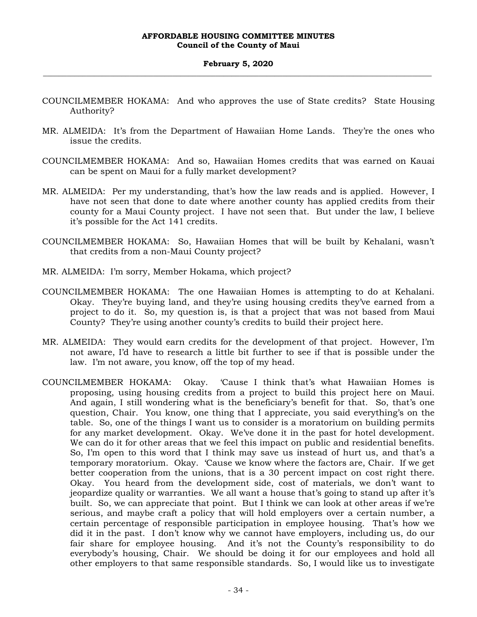- COUNCILMEMBER HOKAMA: And who approves the use of State credits? State Housing Authority?
- MR. ALMEIDA: It's from the Department of Hawaiian Home Lands. They're the ones who issue the credits.
- COUNCILMEMBER HOKAMA: And so, Hawaiian Homes credits that was earned on Kauai can be spent on Maui for a fully market development?
- MR. ALMEIDA: Per my understanding, that's how the law reads and is applied. However, I have not seen that done to date where another county has applied credits from their county for a Maui County project. I have not seen that. But under the law, I believe it's possible for the Act 141 credits.
- COUNCILMEMBER HOKAMA: So, Hawaiian Homes that will be built by Kehalani, wasn't that credits from a non-Maui County project?
- MR. ALMEIDA: I'm sorry, Member Hokama, which project?
- COUNCILMEMBER HOKAMA: The one Hawaiian Homes is attempting to do at Kehalani. Okay. They're buying land, and they're using housing credits they've earned from a project to do it. So, my question is, is that a project that was not based from Maui County? They're using another county's credits to build their project here.
- MR. ALMEIDA: They would earn credits for the development of that project. However, I'm not aware, I'd have to research a little bit further to see if that is possible under the law. I'm not aware, you know, off the top of my head.
- COUNCILMEMBER HOKAMA: Okay. 'Cause I think that's what Hawaiian Homes is proposing, using housing credits from a project to build this project here on Maui. And again, I still wondering what is the beneficiary's benefit for that. So, that's one question, Chair. You know, one thing that I appreciate, you said everything's on the table. So, one of the things I want us to consider is a moratorium on building permits for any market development. Okay. We've done it in the past for hotel development. We can do it for other areas that we feel this impact on public and residential benefits. So, I'm open to this word that I think may save us instead of hurt us, and that's a temporary moratorium. Okay. 'Cause we know where the factors are, Chair. If we get better cooperation from the unions, that is a 30 percent impact on cost right there. Okay. You heard from the development side, cost of materials, we don't want to jeopardize quality or warranties. We all want a house that's going to stand up after it's built. So, we can appreciate that point. But I think we can look at other areas if we're serious, and maybe craft a policy that will hold employers over a certain number, a certain percentage of responsible participation in employee housing. That's how we did it in the past. I don't know why we cannot have employers, including us, do our fair share for employee housing. And it's not the County's responsibility to do everybody's housing, Chair. We should be doing it for our employees and hold all other employers to that same responsible standards. So, I would like us to investigate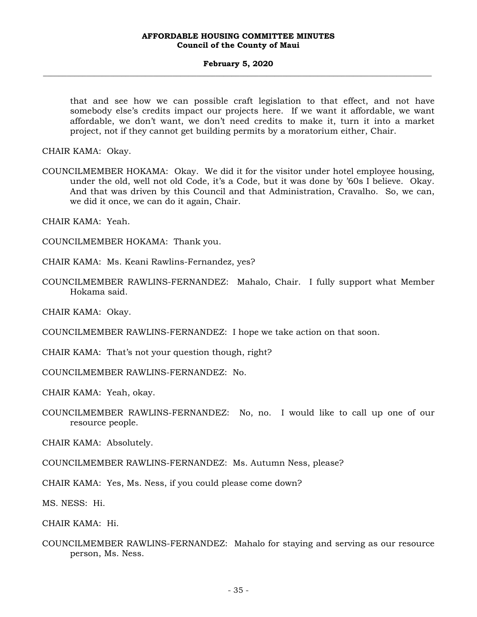#### **February 5, 2020 \_\_\_\_\_\_\_\_\_\_\_\_\_\_\_\_\_\_\_\_\_\_\_\_\_\_\_\_\_\_\_\_\_\_\_\_\_\_\_\_\_\_\_\_\_\_\_\_\_\_\_\_\_\_\_\_\_\_\_\_\_\_\_\_\_\_\_\_\_\_\_\_\_\_\_\_\_\_\_\_\_\_\_\_\_\_\_\_\_\_\_\_\_\_\_\_\_\_\_**

that and see how we can possible craft legislation to that effect, and not have somebody else's credits impact our projects here. If we want it affordable, we want affordable, we don't want, we don't need credits to make it, turn it into a market project, not if they cannot get building permits by a moratorium either, Chair.

CHAIR KAMA: Okay.

COUNCILMEMBER HOKAMA: Okay. We did it for the visitor under hotel employee housing, under the old, well not old Code, it's a Code, but it was done by '60s I believe. Okay. And that was driven by this Council and that Administration, Cravalho. So, we can, we did it once, we can do it again, Chair.

CHAIR KAMA: Yeah.

COUNCILMEMBER HOKAMA: Thank you.

CHAIR KAMA: Ms. Keani Rawlins-Fernandez, yes?

COUNCILMEMBER RAWLINS-FERNANDEZ: Mahalo, Chair. I fully support what Member Hokama said.

CHAIR KAMA: Okay.

COUNCILMEMBER RAWLINS-FERNANDEZ: I hope we take action on that soon.

CHAIR KAMA: That's not your question though, right?

COUNCILMEMBER RAWLINS-FERNANDEZ: No.

CHAIR KAMA: Yeah, okay.

COUNCILMEMBER RAWLINS-FERNANDEZ: No, no. I would like to call up one of our resource people.

CHAIR KAMA: Absolutely.

COUNCILMEMBER RAWLINS-FERNANDEZ: Ms. Autumn Ness, please?

CHAIR KAMA: Yes, Ms. Ness, if you could please come down?

MS. NESS: Hi.

CHAIR KAMA: Hi.

COUNCILMEMBER RAWLINS-FERNANDEZ: Mahalo for staying and serving as our resource person, Ms. Ness.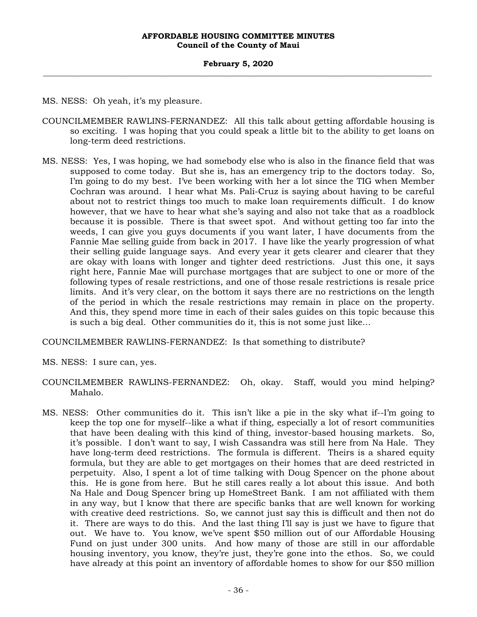MS. NESS: Oh yeah, it's my pleasure.

- COUNCILMEMBER RAWLINS-FERNANDEZ: All this talk about getting affordable housing is so exciting. I was hoping that you could speak a little bit to the ability to get loans on long-term deed restrictions.
- MS. NESS: Yes, I was hoping, we had somebody else who is also in the finance field that was supposed to come today. But she is, has an emergency trip to the doctors today. So, I'm going to do my best. I've been working with her a lot since the TIG when Member Cochran was around. I hear what Ms. Pali-Cruz is saying about having to be careful about not to restrict things too much to make loan requirements difficult. I do know however, that we have to hear what she's saying and also not take that as a roadblock because it is possible. There is that sweet spot. And without getting too far into the weeds, I can give you guys documents if you want later, I have documents from the Fannie Mae selling guide from back in 2017. I have like the yearly progression of what their selling guide language says. And every year it gets clearer and clearer that they are okay with loans with longer and tighter deed restrictions. Just this one, it says right here, Fannie Mae will purchase mortgages that are subject to one or more of the following types of resale restrictions, and one of those resale restrictions is resale price limits. And it's very clear, on the bottom it says there are no restrictions on the length of the period in which the resale restrictions may remain in place on the property. And this, they spend more time in each of their sales guides on this topic because this is such a big deal. Other communities do it, this is not some just like…

COUNCILMEMBER RAWLINS-FERNANDEZ: Is that something to distribute?

MS. NESS: I sure can, yes.

- COUNCILMEMBER RAWLINS-FERNANDEZ: Oh, okay. Staff, would you mind helping? Mahalo.
- MS. NESS: Other communities do it. This isn't like a pie in the sky what if--I'm going to keep the top one for myself--like a what if thing, especially a lot of resort communities that have been dealing with this kind of thing, investor-based housing markets. So, it's possible. I don't want to say, I wish Cassandra was still here from Na Hale. They have long-term deed restrictions. The formula is different. Theirs is a shared equity formula, but they are able to get mortgages on their homes that are deed restricted in perpetuity. Also, I spent a lot of time talking with Doug Spencer on the phone about this. He is gone from here. But he still cares really a lot about this issue. And both Na Hale and Doug Spencer bring up HomeStreet Bank. I am not affiliated with them in any way, but I know that there are specific banks that are well known for working with creative deed restrictions. So, we cannot just say this is difficult and then not do it. There are ways to do this. And the last thing I'll say is just we have to figure that out. We have to. You know, we've spent \$50 million out of our Affordable Housing Fund on just under 300 units. And how many of those are still in our affordable housing inventory, you know, they're just, they're gone into the ethos. So, we could have already at this point an inventory of affordable homes to show for our \$50 million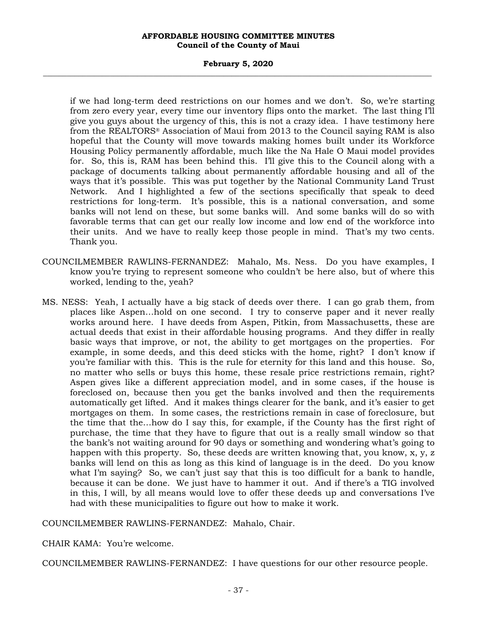#### **February 5, 2020 \_\_\_\_\_\_\_\_\_\_\_\_\_\_\_\_\_\_\_\_\_\_\_\_\_\_\_\_\_\_\_\_\_\_\_\_\_\_\_\_\_\_\_\_\_\_\_\_\_\_\_\_\_\_\_\_\_\_\_\_\_\_\_\_\_\_\_\_\_\_\_\_\_\_\_\_\_\_\_\_\_\_\_\_\_\_\_\_\_\_\_\_\_\_\_\_\_\_\_**

if we had long-term deed restrictions on our homes and we don't. So, we're starting from zero every year, every time our inventory flips onto the market. The last thing I'll give you guys about the urgency of this, this is not a crazy idea. I have testimony here from the REALTORS® Association of Maui from 2013 to the Council saying RAM is also hopeful that the County will move towards making homes built under its Workforce Housing Policy permanently affordable, much like the Na Hale O Maui model provides for. So, this is, RAM has been behind this. I'll give this to the Council along with a package of documents talking about permanently affordable housing and all of the ways that it's possible. This was put together by the National Community Land Trust Network. And I highlighted a few of the sections specifically that speak to deed restrictions for long-term. It's possible, this is a national conversation, and some banks will not lend on these, but some banks will. And some banks will do so with favorable terms that can get our really low income and low end of the workforce into their units. And we have to really keep those people in mind. That's my two cents. Thank you.

- COUNCILMEMBER RAWLINS-FERNANDEZ: Mahalo, Ms. Ness. Do you have examples, I know you're trying to represent someone who couldn't be here also, but of where this worked, lending to the, yeah?
- MS. NESS: Yeah, I actually have a big stack of deeds over there. I can go grab them, from places like Aspen…hold on one second. I try to conserve paper and it never really works around here. I have deeds from Aspen, Pitkin, from Massachusetts, these are actual deeds that exist in their affordable housing programs. And they differ in really basic ways that improve, or not, the ability to get mortgages on the properties. For example, in some deeds, and this deed sticks with the home, right? I don't know if you're familiar with this. This is the rule for eternity for this land and this house. So, no matter who sells or buys this home, these resale price restrictions remain, right? Aspen gives like a different appreciation model, and in some cases, if the house is foreclosed on, because then you get the banks involved and then the requirements automatically get lifted. And it makes things clearer for the bank, and it's easier to get mortgages on them. In some cases, the restrictions remain in case of foreclosure, but the time that the…how do I say this, for example, if the County has the first right of purchase, the time that they have to figure that out is a really small window so that the bank's not waiting around for 90 days or something and wondering what's going to happen with this property. So, these deeds are written knowing that, you know, x, y, z banks will lend on this as long as this kind of language is in the deed. Do you know what I'm saying? So, we can't just say that this is too difficult for a bank to handle, because it can be done. We just have to hammer it out. And if there's a TIG involved in this, I will, by all means would love to offer these deeds up and conversations I've had with these municipalities to figure out how to make it work.

COUNCILMEMBER RAWLINS-FERNANDEZ: Mahalo, Chair.

CHAIR KAMA: You're welcome.

COUNCILMEMBER RAWLINS-FERNANDEZ: I have questions for our other resource people.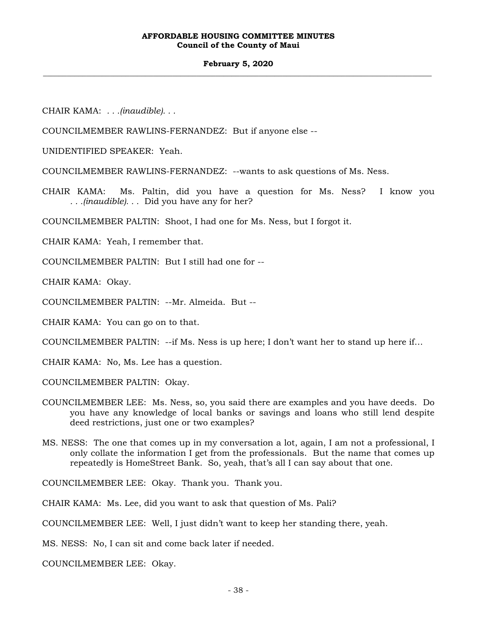#### **February 5, 2020 \_\_\_\_\_\_\_\_\_\_\_\_\_\_\_\_\_\_\_\_\_\_\_\_\_\_\_\_\_\_\_\_\_\_\_\_\_\_\_\_\_\_\_\_\_\_\_\_\_\_\_\_\_\_\_\_\_\_\_\_\_\_\_\_\_\_\_\_\_\_\_\_\_\_\_\_\_\_\_\_\_\_\_\_\_\_\_\_\_\_\_\_\_\_\_\_\_\_\_**

CHAIR KAMA: *. . .(inaudible). . .*

COUNCILMEMBER RAWLINS-FERNANDEZ: But if anyone else --

UNIDENTIFIED SPEAKER: Yeah.

COUNCILMEMBER RAWLINS-FERNANDEZ: --wants to ask questions of Ms. Ness.

CHAIR KAMA: Ms. Paltin, did you have a question for Ms. Ness? I know you *. . .(inaudible). . .* Did you have any for her?

COUNCILMEMBER PALTIN: Shoot, I had one for Ms. Ness, but I forgot it.

CHAIR KAMA: Yeah, I remember that.

COUNCILMEMBER PALTIN: But I still had one for --

CHAIR KAMA: Okay.

COUNCILMEMBER PALTIN: --Mr. Almeida. But --

CHAIR KAMA: You can go on to that.

COUNCILMEMBER PALTIN: --if Ms. Ness is up here; I don't want her to stand up here if…

CHAIR KAMA: No, Ms. Lee has a question.

COUNCILMEMBER PALTIN: Okay.

- COUNCILMEMBER LEE: Ms. Ness, so, you said there are examples and you have deeds. Do you have any knowledge of local banks or savings and loans who still lend despite deed restrictions, just one or two examples?
- MS. NESS: The one that comes up in my conversation a lot, again, I am not a professional, I only collate the information I get from the professionals. But the name that comes up repeatedly is HomeStreet Bank. So, yeah, that's all I can say about that one.

COUNCILMEMBER LEE: Okay. Thank you. Thank you.

CHAIR KAMA: Ms. Lee, did you want to ask that question of Ms. Pali?

COUNCILMEMBER LEE: Well, I just didn't want to keep her standing there, yeah.

MS. NESS: No, I can sit and come back later if needed.

COUNCILMEMBER LEE: Okay.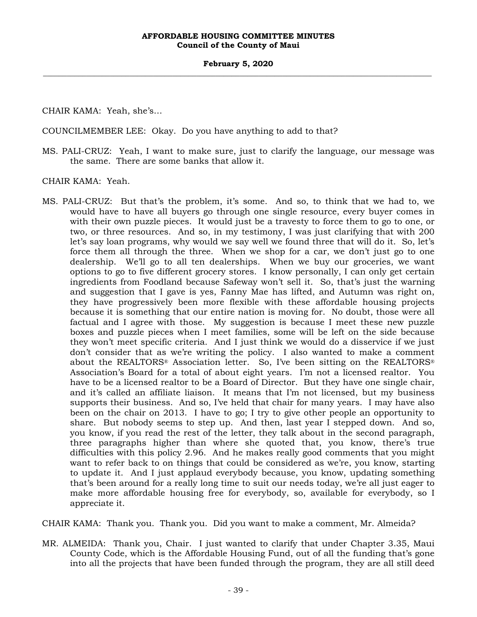CHAIR KAMA: Yeah, she's…

COUNCILMEMBER LEE: Okay. Do you have anything to add to that?

MS. PALI-CRUZ: Yeah, I want to make sure, just to clarify the language, our message was the same. There are some banks that allow it.

CHAIR KAMA: Yeah.

MS. PALI-CRUZ: But that's the problem, it's some. And so, to think that we had to, we would have to have all buyers go through one single resource, every buyer comes in with their own puzzle pieces. It would just be a travesty to force them to go to one, or two, or three resources. And so, in my testimony, I was just clarifying that with 200 let's say loan programs, why would we say well we found three that will do it. So, let's force them all through the three. When we shop for a car, we don't just go to one dealership. We'll go to all ten dealerships. When we buy our groceries, we want options to go to five different grocery stores. I know personally, I can only get certain ingredients from Foodland because Safeway won't sell it. So, that's just the warning and suggestion that I gave is yes, Fanny Mae has lifted, and Autumn was right on, they have progressively been more flexible with these affordable housing projects because it is something that our entire nation is moving for. No doubt, those were all factual and I agree with those. My suggestion is because I meet these new puzzle boxes and puzzle pieces when I meet families, some will be left on the side because they won't meet specific criteria. And I just think we would do a disservice if we just don't consider that as we're writing the policy. I also wanted to make a comment about the REALTORS® Association letter. So, I've been sitting on the REALTORS® Association's Board for a total of about eight years. I'm not a licensed realtor. You have to be a licensed realtor to be a Board of Director. But they have one single chair, and it's called an affiliate liaison. It means that I'm not licensed, but my business supports their business. And so, I've held that chair for many years. I may have also been on the chair on 2013. I have to go; I try to give other people an opportunity to share. But nobody seems to step up. And then, last year I stepped down. And so, you know, if you read the rest of the letter, they talk about in the second paragraph, three paragraphs higher than where she quoted that, you know, there's true difficulties with this policy 2.96. And he makes really good comments that you might want to refer back to on things that could be considered as we're, you know, starting to update it. And I just applaud everybody because, you know, updating something that's been around for a really long time to suit our needs today, we're all just eager to make more affordable housing free for everybody, so, available for everybody, so I appreciate it.

CHAIR KAMA: Thank you. Thank you. Did you want to make a comment, Mr. Almeida?

MR. ALMEIDA: Thank you, Chair. I just wanted to clarify that under Chapter 3.35, Maui County Code, which is the Affordable Housing Fund, out of all the funding that's gone into all the projects that have been funded through the program, they are all still deed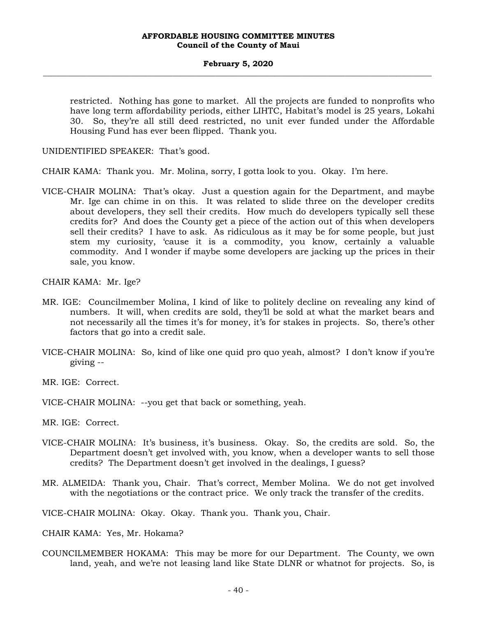restricted. Nothing has gone to market. All the projects are funded to nonprofits who have long term affordability periods, either LIHTC, Habitat's model is 25 years, Lokahi 30. So, they're all still deed restricted, no unit ever funded under the Affordable Housing Fund has ever been flipped. Thank you.

UNIDENTIFIED SPEAKER: That's good.

CHAIR KAMA: Thank you. Mr. Molina, sorry, I gotta look to you. Okay. I'm here.

VICE-CHAIR MOLINA: That's okay. Just a question again for the Department, and maybe Mr. Ige can chime in on this. It was related to slide three on the developer credits about developers, they sell their credits. How much do developers typically sell these credits for? And does the County get a piece of the action out of this when developers sell their credits? I have to ask. As ridiculous as it may be for some people, but just stem my curiosity, 'cause it is a commodity, you know, certainly a valuable commodity. And I wonder if maybe some developers are jacking up the prices in their sale, you know.

CHAIR KAMA: Mr. Ige?

- MR. IGE: Councilmember Molina, I kind of like to politely decline on revealing any kind of numbers. It will, when credits are sold, they'll be sold at what the market bears and not necessarily all the times it's for money, it's for stakes in projects. So, there's other factors that go into a credit sale.
- VICE-CHAIR MOLINA: So, kind of like one quid pro quo yeah, almost? I don't know if you're giving --
- MR. IGE: Correct.
- VICE-CHAIR MOLINA: --you get that back or something, yeah.
- MR. IGE: Correct.
- VICE-CHAIR MOLINA: It's business, it's business. Okay. So, the credits are sold. So, the Department doesn't get involved with, you know, when a developer wants to sell those credits? The Department doesn't get involved in the dealings, I guess?
- MR. ALMEIDA: Thank you, Chair. That's correct, Member Molina. We do not get involved with the negotiations or the contract price. We only track the transfer of the credits.

VICE-CHAIR MOLINA: Okay. Okay. Thank you. Thank you, Chair.

- CHAIR KAMA: Yes, Mr. Hokama?
- COUNCILMEMBER HOKAMA: This may be more for our Department. The County, we own land, yeah, and we're not leasing land like State DLNR or whatnot for projects. So, is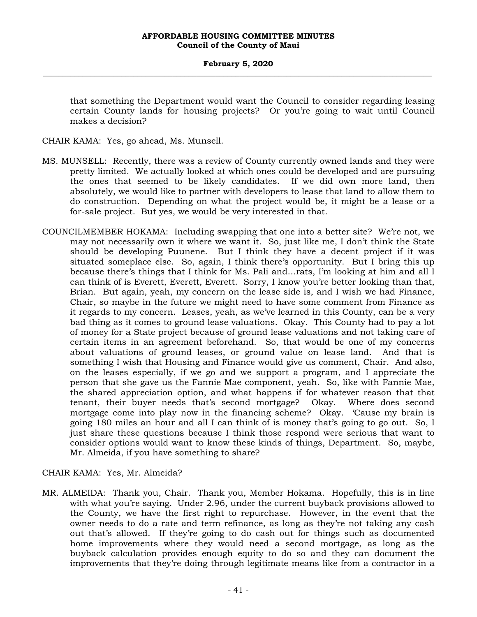that something the Department would want the Council to consider regarding leasing certain County lands for housing projects? Or you're going to wait until Council makes a decision?

CHAIR KAMA: Yes, go ahead, Ms. Munsell.

- MS. MUNSELL: Recently, there was a review of County currently owned lands and they were pretty limited. We actually looked at which ones could be developed and are pursuing the ones that seemed to be likely candidates. If we did own more land, then absolutely, we would like to partner with developers to lease that land to allow them to do construction. Depending on what the project would be, it might be a lease or a for-sale project. But yes, we would be very interested in that.
- COUNCILMEMBER HOKAMA: Including swapping that one into a better site? We're not, we may not necessarily own it where we want it. So, just like me, I don't think the State should be developing Puunene. But I think they have a decent project if it was situated someplace else. So, again, I think there's opportunity. But I bring this up because there's things that I think for Ms. Pali and…rats, I'm looking at him and all I can think of is Everett, Everett, Everett. Sorry, I know you're better looking than that, Brian. But again, yeah, my concern on the lease side is, and I wish we had Finance, Chair, so maybe in the future we might need to have some comment from Finance as it regards to my concern. Leases, yeah, as we've learned in this County, can be a very bad thing as it comes to ground lease valuations. Okay. This County had to pay a lot of money for a State project because of ground lease valuations and not taking care of certain items in an agreement beforehand. So, that would be one of my concerns about valuations of ground leases, or ground value on lease land. And that is something I wish that Housing and Finance would give us comment, Chair. And also, on the leases especially, if we go and we support a program, and I appreciate the person that she gave us the Fannie Mae component, yeah. So, like with Fannie Mae, the shared appreciation option, and what happens if for whatever reason that that tenant, their buyer needs that's second mortgage? Okay. Where does second mortgage come into play now in the financing scheme? Okay. 'Cause my brain is going 180 miles an hour and all I can think of is money that's going to go out. So, I just share these questions because I think those respond were serious that want to consider options would want to know these kinds of things, Department. So, maybe, Mr. Almeida, if you have something to share?

## CHAIR KAMA: Yes, Mr. Almeida?

MR. ALMEIDA: Thank you, Chair. Thank you, Member Hokama. Hopefully, this is in line with what you're saying. Under 2.96, under the current buyback provisions allowed to the County, we have the first right to repurchase. However, in the event that the owner needs to do a rate and term refinance, as long as they're not taking any cash out that's allowed. If they're going to do cash out for things such as documented home improvements where they would need a second mortgage, as long as the buyback calculation provides enough equity to do so and they can document the improvements that they're doing through legitimate means like from a contractor in a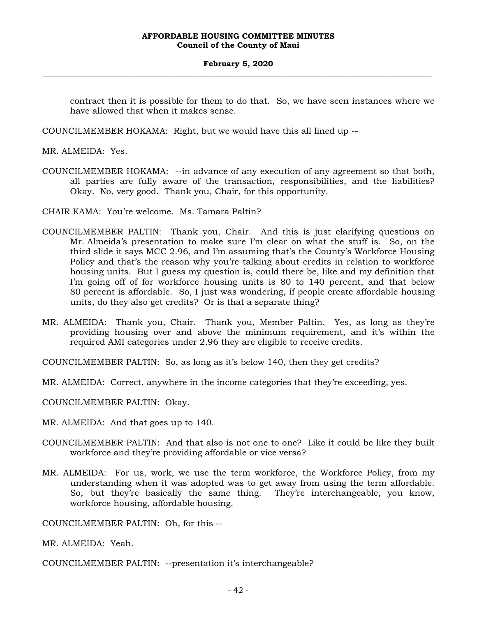#### **February 5, 2020 \_\_\_\_\_\_\_\_\_\_\_\_\_\_\_\_\_\_\_\_\_\_\_\_\_\_\_\_\_\_\_\_\_\_\_\_\_\_\_\_\_\_\_\_\_\_\_\_\_\_\_\_\_\_\_\_\_\_\_\_\_\_\_\_\_\_\_\_\_\_\_\_\_\_\_\_\_\_\_\_\_\_\_\_\_\_\_\_\_\_\_\_\_\_\_\_\_\_\_**

contract then it is possible for them to do that. So, we have seen instances where we have allowed that when it makes sense.

COUNCILMEMBER HOKAMA: Right, but we would have this all lined up --

MR. ALMEIDA: Yes.

- COUNCILMEMBER HOKAMA: --in advance of any execution of any agreement so that both, all parties are fully aware of the transaction, responsibilities, and the liabilities? Okay. No, very good. Thank you, Chair, for this opportunity.
- CHAIR KAMA: You're welcome. Ms. Tamara Paltin?
- COUNCILMEMBER PALTIN: Thank you, Chair. And this is just clarifying questions on Mr. Almeida's presentation to make sure I'm clear on what the stuff is. So, on the third slide it says MCC 2.96, and I'm assuming that's the County's Workforce Housing Policy and that's the reason why you're talking about credits in relation to workforce housing units. But I guess my question is, could there be, like and my definition that I'm going off of for workforce housing units is 80 to 140 percent, and that below 80 percent is affordable. So, I just was wondering, if people create affordable housing units, do they also get credits? Or is that a separate thing?
- MR. ALMEIDA: Thank you, Chair. Thank you, Member Paltin. Yes, as long as they're providing housing over and above the minimum requirement, and it's within the required AMI categories under 2.96 they are eligible to receive credits.
- COUNCILMEMBER PALTIN: So, as long as it's below 140, then they get credits?
- MR. ALMEIDA: Correct, anywhere in the income categories that they're exceeding, yes.

COUNCILMEMBER PALTIN: Okay.

- MR. ALMEIDA: And that goes up to 140.
- COUNCILMEMBER PALTIN: And that also is not one to one? Like it could be like they built workforce and they're providing affordable or vice versa?
- MR. ALMEIDA: For us, work, we use the term workforce, the Workforce Policy, from my understanding when it was adopted was to get away from using the term affordable. So, but they're basically the same thing. They're interchangeable, you know, workforce housing, affordable housing.

COUNCILMEMBER PALTIN: Oh, for this --

MR. ALMEIDA: Yeah.

COUNCILMEMBER PALTIN: --presentation it's interchangeable?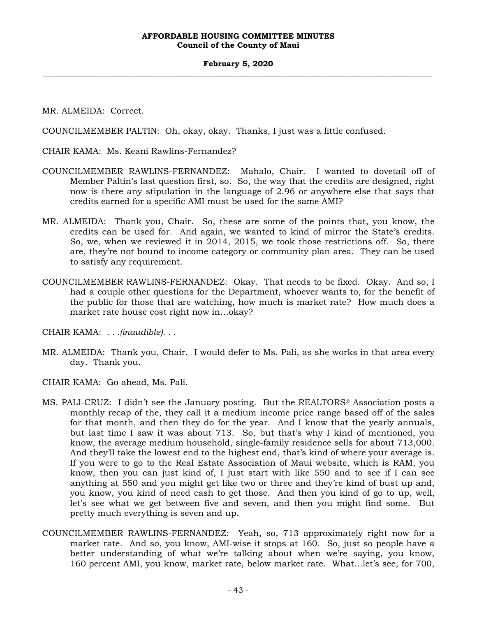#### **February 5, 2020 \_\_\_\_\_\_\_\_\_\_\_\_\_\_\_\_\_\_\_\_\_\_\_\_\_\_\_\_\_\_\_\_\_\_\_\_\_\_\_\_\_\_\_\_\_\_\_\_\_\_\_\_\_\_\_\_\_\_\_\_\_\_\_\_\_\_\_\_\_\_\_\_\_\_\_\_\_\_\_\_\_\_\_\_\_\_\_\_\_\_\_\_\_\_\_\_\_\_\_**

MR. ALMEIDA: Correct.

COUNCILMEMBER PALTIN: Oh, okay, okay. Thanks, I just was a little confused.

CHAIR KAMA: Ms. Keani Rawlins-Fernandez?

- COUNCILMEMBER RAWLINS-FERNANDEZ: Mahalo, Chair. I wanted to dovetail off of Member Paltin's last question first, so. So, the way that the credits are designed, right now is there any stipulation in the language of 2.96 or anywhere else that says that credits earned for a specific AMI must be used for the same AMI?
- MR. ALMEIDA: Thank you, Chair. So, these are some of the points that, you know, the credits can be used for. And again, we wanted to kind of mirror the State's credits. So, we, when we reviewed it in 2014, 2015, we took those restrictions off. So, there are, they're not bound to income category or community plan area. They can be used to satisfy any requirement.
- COUNCILMEMBER RAWLINS-FERNANDEZ: Okay. That needs to be fixed. Okay. And so, I had a couple other questions for the Department, whoever wants to, for the benefit of the public for those that are watching, how much is market rate? How much does a market rate house cost right now in…okay?

CHAIR KAMA: *. . .(inaudible). . .*

MR. ALMEIDA: Thank you, Chair. I would defer to Ms. Pali, as she works in that area every day. Thank you.

CHAIR KAMA: Go ahead, Ms. Pali.

- MS. PALI-CRUZ: I didn't see the January posting. But the REALTORS® Association posts a monthly recap of the, they call it a medium income price range based off of the sales for that month, and then they do for the year. And I know that the yearly annuals, but last time I saw it was about 713. So, but that's why I kind of mentioned, you know, the average medium household, single-family residence sells for about 713,000. And they'll take the lowest end to the highest end, that's kind of where your average is. If you were to go to the Real Estate Association of Maui website, which is RAM, you know, then you can just kind of, I just start with like 550 and to see if I can see anything at 550 and you might get like two or three and they're kind of bust up and, you know, you kind of need cash to get those. And then you kind of go to up, well, let's see what we get between five and seven, and then you might find some. But pretty much everything is seven and up.
- COUNCILMEMBER RAWLINS-FERNANDEZ: Yeah, so, 713 approximately right now for a market rate. And so, you know, AMI-wise it stops at 160. So, just so people have a better understanding of what we're talking about when we're saying, you know, 160 percent AMI, you know, market rate, below market rate. What…let's see, for 700,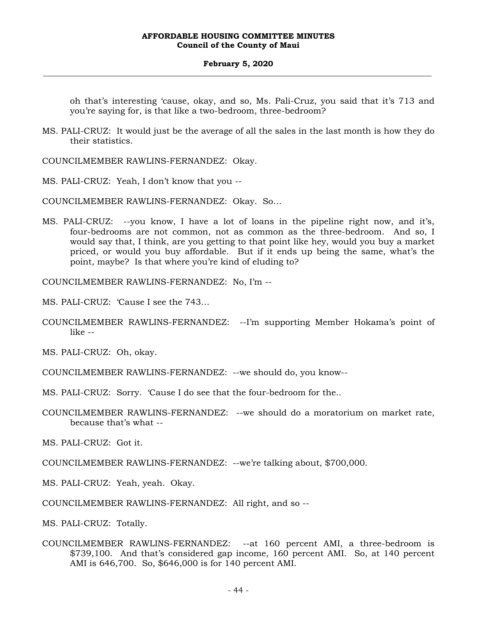#### **February 5, 2020 \_\_\_\_\_\_\_\_\_\_\_\_\_\_\_\_\_\_\_\_\_\_\_\_\_\_\_\_\_\_\_\_\_\_\_\_\_\_\_\_\_\_\_\_\_\_\_\_\_\_\_\_\_\_\_\_\_\_\_\_\_\_\_\_\_\_\_\_\_\_\_\_\_\_\_\_\_\_\_\_\_\_\_\_\_\_\_\_\_\_\_\_\_\_\_\_\_\_\_**

oh that's interesting 'cause, okay, and so, Ms. Pali-Cruz, you said that it's 713 and you're saying for, is that like a two-bedroom, three-bedroom?

MS. PALI-CRUZ: It would just be the average of all the sales in the last month is how they do their statistics.

COUNCILMEMBER RAWLINS-FERNANDEZ: Okay.

MS. PALI-CRUZ: Yeah, I don't know that you --

COUNCILMEMBER RAWLINS-FERNANDEZ: Okay. So…

MS. PALI-CRUZ: --you know, I have a lot of loans in the pipeline right now, and it's, four-bedrooms are not common, not as common as the three-bedroom. And so, I would say that, I think, are you getting to that point like hey, would you buy a market priced, or would you buy affordable. But if it ends up being the same, what's the point, maybe? Is that where you're kind of eluding to?

COUNCILMEMBER RAWLINS-FERNANDEZ: No, I'm --

MS. PALI-CRUZ: 'Cause I see the 743…

COUNCILMEMBER RAWLINS-FERNANDEZ: --I'm supporting Member Hokama's point of  $like -$ 

MS. PALI-CRUZ: Oh, okay.

COUNCILMEMBER RAWLINS-FERNANDEZ: --we should do, you know--

MS. PALI-CRUZ: Sorry. 'Cause I do see that the four-bedroom for the..

COUNCILMEMBER RAWLINS-FERNANDEZ: --we should do a moratorium on market rate, because that's what --

MS. PALI-CRUZ: Got it.

COUNCILMEMBER RAWLINS-FERNANDEZ: --we're talking about, \$700,000.

MS. PALI-CRUZ: Yeah, yeah. Okay.

COUNCILMEMBER RAWLINS-FERNANDEZ: All right, and so --

MS. PALI-CRUZ: Totally.

COUNCILMEMBER RAWLINS-FERNANDEZ: --at 160 percent AMI, a three-bedroom is \$739,100. And that's considered gap income, 160 percent AMI. So, at 140 percent AMI is 646,700. So, \$646,000 is for 140 percent AMI.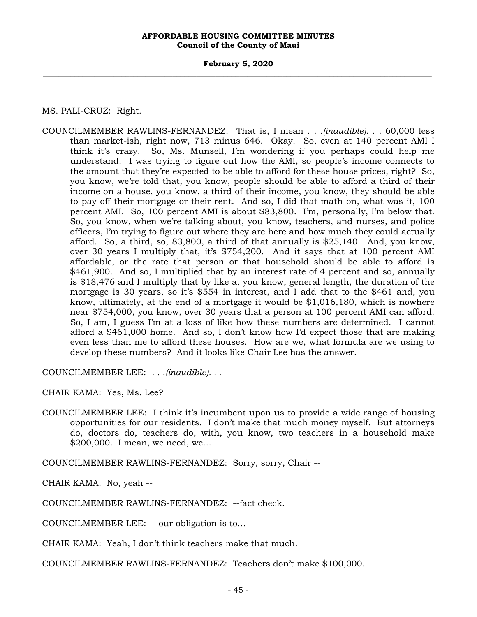**February 5, 2020 \_\_\_\_\_\_\_\_\_\_\_\_\_\_\_\_\_\_\_\_\_\_\_\_\_\_\_\_\_\_\_\_\_\_\_\_\_\_\_\_\_\_\_\_\_\_\_\_\_\_\_\_\_\_\_\_\_\_\_\_\_\_\_\_\_\_\_\_\_\_\_\_\_\_\_\_\_\_\_\_\_\_\_\_\_\_\_\_\_\_\_\_\_\_\_\_\_\_\_**

MS. PALI-CRUZ: Right.

COUNCILMEMBER RAWLINS-FERNANDEZ: That is, I mean *. . .(inaudible). . .* 60,000 less than market-ish, right now, 713 minus 646. Okay. So, even at 140 percent AMI I think it's crazy. So, Ms. Munsell, I'm wondering if you perhaps could help me understand. I was trying to figure out how the AMI, so people's income connects to the amount that they're expected to be able to afford for these house prices, right? So, you know, we're told that, you know, people should be able to afford a third of their income on a house, you know, a third of their income, you know, they should be able to pay off their mortgage or their rent. And so, I did that math on, what was it, 100 percent AMI. So, 100 percent AMI is about \$83,800. I'm, personally, I'm below that. So, you know, when we're talking about, you know, teachers, and nurses, and police officers, I'm trying to figure out where they are here and how much they could actually afford. So, a third, so, 83,800, a third of that annually is \$25,140. And, you know, over 30 years I multiply that, it's \$754,200. And it says that at 100 percent AMI affordable, or the rate that person or that household should be able to afford is \$461,900. And so, I multiplied that by an interest rate of 4 percent and so, annually is \$18,476 and I multiply that by like a, you know, general length, the duration of the mortgage is 30 years, so it's \$554 in interest, and I add that to the \$461 and, you know, ultimately, at the end of a mortgage it would be \$1,016,180, which is nowhere near \$754,000, you know, over 30 years that a person at 100 percent AMI can afford. So, I am, I guess I'm at a loss of like how these numbers are determined. I cannot afford a \$461,000 home. And so, I don't know how I'd expect those that are making even less than me to afford these houses. How are we, what formula are we using to develop these numbers? And it looks like Chair Lee has the answer.

COUNCILMEMBER LEE: . . .*(inaudible). . .*

CHAIR KAMA: Yes, Ms. Lee?

COUNCILMEMBER LEE: I think it's incumbent upon us to provide a wide range of housing opportunities for our residents. I don't make that much money myself. But attorneys do, doctors do, teachers do, with, you know, two teachers in a household make \$200,000. I mean, we need, we…

COUNCILMEMBER RAWLINS-FERNANDEZ: Sorry, sorry, Chair --

CHAIR KAMA: No, yeah --

COUNCILMEMBER RAWLINS-FERNANDEZ: --fact check.

COUNCILMEMBER LEE: --our obligation is to…

CHAIR KAMA: Yeah, I don't think teachers make that much.

COUNCILMEMBER RAWLINS-FERNANDEZ: Teachers don't make \$100,000.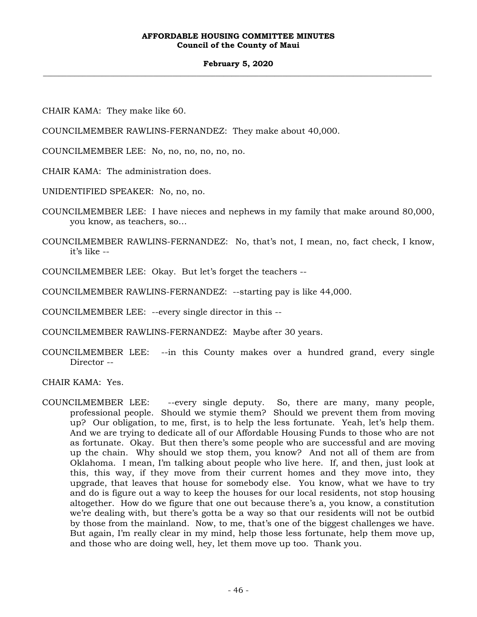#### **February 5, 2020 \_\_\_\_\_\_\_\_\_\_\_\_\_\_\_\_\_\_\_\_\_\_\_\_\_\_\_\_\_\_\_\_\_\_\_\_\_\_\_\_\_\_\_\_\_\_\_\_\_\_\_\_\_\_\_\_\_\_\_\_\_\_\_\_\_\_\_\_\_\_\_\_\_\_\_\_\_\_\_\_\_\_\_\_\_\_\_\_\_\_\_\_\_\_\_\_\_\_\_**

CHAIR KAMA: They make like 60.

COUNCILMEMBER RAWLINS-FERNANDEZ: They make about 40,000.

COUNCILMEMBER LEE: No, no, no, no, no, no.

CHAIR KAMA: The administration does.

UNIDENTIFIED SPEAKER: No, no, no.

- COUNCILMEMBER LEE: I have nieces and nephews in my family that make around 80,000, you know, as teachers, so…
- COUNCILMEMBER RAWLINS-FERNANDEZ: No, that's not, I mean, no, fact check, I know, it's like --

COUNCILMEMBER LEE: Okay. But let's forget the teachers --

COUNCILMEMBER RAWLINS-FERNANDEZ: --starting pay is like 44,000.

COUNCILMEMBER LEE: --every single director in this --

COUNCILMEMBER RAWLINS-FERNANDEZ: Maybe after 30 years.

COUNCILMEMBER LEE: --in this County makes over a hundred grand, every single Director --

CHAIR KAMA: Yes.

COUNCILMEMBER LEE: --every single deputy. So, there are many, many people, professional people. Should we stymie them? Should we prevent them from moving up? Our obligation, to me, first, is to help the less fortunate. Yeah, let's help them. And we are trying to dedicate all of our Affordable Housing Funds to those who are not as fortunate. Okay. But then there's some people who are successful and are moving up the chain. Why should we stop them, you know? And not all of them are from Oklahoma. I mean, I'm talking about people who live here. If, and then, just look at this, this way, if they move from their current homes and they move into, they upgrade, that leaves that house for somebody else. You know, what we have to try and do is figure out a way to keep the houses for our local residents, not stop housing altogether. How do we figure that one out because there's a, you know, a constitution we're dealing with, but there's gotta be a way so that our residents will not be outbid by those from the mainland. Now, to me, that's one of the biggest challenges we have. But again, I'm really clear in my mind, help those less fortunate, help them move up, and those who are doing well, hey, let them move up too. Thank you.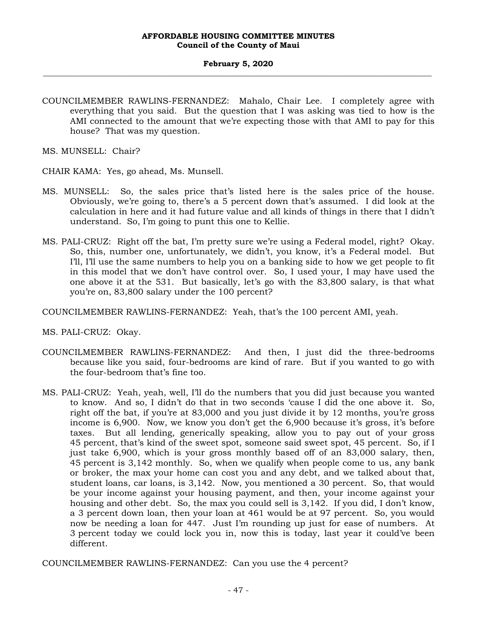COUNCILMEMBER RAWLINS-FERNANDEZ: Mahalo, Chair Lee. I completely agree with everything that you said. But the question that I was asking was tied to how is the AMI connected to the amount that we're expecting those with that AMI to pay for this house? That was my question.

MS. MUNSELL: Chair?

- CHAIR KAMA: Yes, go ahead, Ms. Munsell.
- MS. MUNSELL: So, the sales price that's listed here is the sales price of the house. Obviously, we're going to, there's a 5 percent down that's assumed. I did look at the calculation in here and it had future value and all kinds of things in there that I didn't understand. So, I'm going to punt this one to Kellie.
- MS. PALI-CRUZ: Right off the bat, I'm pretty sure we're using a Federal model, right? Okay. So, this, number one, unfortunately, we didn't, you know, it's a Federal model. But I'll, I'll use the same numbers to help you on a banking side to how we get people to fit in this model that we don't have control over. So, I used your, I may have used the one above it at the 531. But basically, let's go with the 83,800 salary, is that what you're on, 83,800 salary under the 100 percent?

COUNCILMEMBER RAWLINS-FERNANDEZ: Yeah, that's the 100 percent AMI, yeah.

MS. PALI-CRUZ: Okay.

- COUNCILMEMBER RAWLINS-FERNANDEZ: And then, I just did the three-bedrooms because like you said, four-bedrooms are kind of rare. But if you wanted to go with the four-bedroom that's fine too.
- MS. PALI-CRUZ: Yeah, yeah, well, I'll do the numbers that you did just because you wanted to know. And so, I didn't do that in two seconds 'cause I did the one above it. So, right off the bat, if you're at 83,000 and you just divide it by 12 months, you're gross income is 6,900. Now, we know you don't get the 6,900 because it's gross, it's before taxes. But all lending, generically speaking, allow you to pay out of your gross 45 percent, that's kind of the sweet spot, someone said sweet spot, 45 percent. So, if I just take 6,900, which is your gross monthly based off of an 83,000 salary, then, 45 percent is 3,142 monthly. So, when we qualify when people come to us, any bank or broker, the max your home can cost you and any debt, and we talked about that, student loans, car loans, is 3,142. Now, you mentioned a 30 percent. So, that would be your income against your housing payment, and then, your income against your housing and other debt. So, the max you could sell is 3,142. If you did, I don't know, a 3 percent down loan, then your loan at 461 would be at 97 percent. So, you would now be needing a loan for 447. Just I'm rounding up just for ease of numbers. At 3 percent today we could lock you in, now this is today, last year it could've been different.

COUNCILMEMBER RAWLINS-FERNANDEZ: Can you use the 4 percent?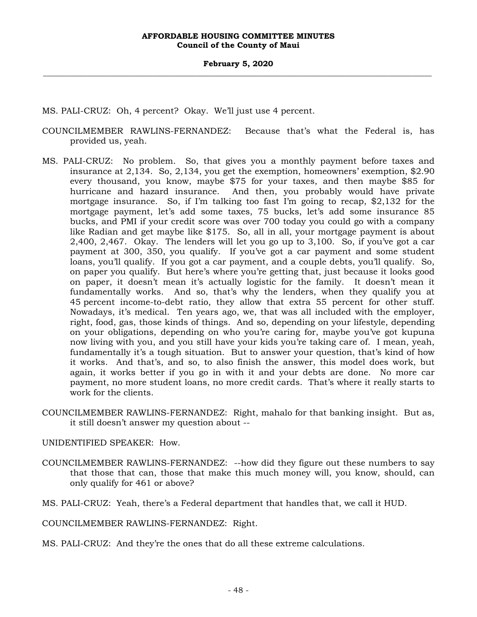- MS. PALI-CRUZ: Oh, 4 percent? Okay. We'll just use 4 percent.
- COUNCILMEMBER RAWLINS-FERNANDEZ: Because that's what the Federal is, has provided us, yeah.
- MS. PALI-CRUZ: No problem. So, that gives you a monthly payment before taxes and insurance at 2,134. So, 2,134, you get the exemption, homeowners' exemption, \$2.90 every thousand, you know, maybe \$75 for your taxes, and then maybe \$85 for hurricane and hazard insurance. And then, you probably would have private mortgage insurance. So, if I'm talking too fast I'm going to recap, \$2,132 for the mortgage payment, let's add some taxes, 75 bucks, let's add some insurance 85 bucks, and PMI if your credit score was over 700 today you could go with a company like Radian and get maybe like \$175. So, all in all, your mortgage payment is about 2,400, 2,467. Okay. The lenders will let you go up to 3,100. So, if you've got a car payment at 300, 350, you qualify. If you've got a car payment and some student loans, you'll qualify. If you got a car payment, and a couple debts, you'll qualify. So, on paper you qualify. But here's where you're getting that, just because it looks good on paper, it doesn't mean it's actually logistic for the family. It doesn't mean it fundamentally works. And so, that's why the lenders, when they qualify you at 45 percent income-to-debt ratio, they allow that extra 55 percent for other stuff. Nowadays, it's medical. Ten years ago, we, that was all included with the employer, right, food, gas, those kinds of things. And so, depending on your lifestyle, depending on your obligations, depending on who you're caring for, maybe you've got kupuna now living with you, and you still have your kids you're taking care of. I mean, yeah, fundamentally it's a tough situation. But to answer your question, that's kind of how it works. And that's, and so, to also finish the answer, this model does work, but again, it works better if you go in with it and your debts are done. No more car payment, no more student loans, no more credit cards. That's where it really starts to work for the clients.
- COUNCILMEMBER RAWLINS-FERNANDEZ: Right, mahalo for that banking insight. But as, it still doesn't answer my question about --
- UNIDENTIFIED SPEAKER: How.
- COUNCILMEMBER RAWLINS-FERNANDEZ: --how did they figure out these numbers to say that those that can, those that make this much money will, you know, should, can only qualify for 461 or above?
- MS. PALI-CRUZ: Yeah, there's a Federal department that handles that, we call it HUD.

COUNCILMEMBER RAWLINS-FERNANDEZ: Right.

MS. PALI-CRUZ: And they're the ones that do all these extreme calculations.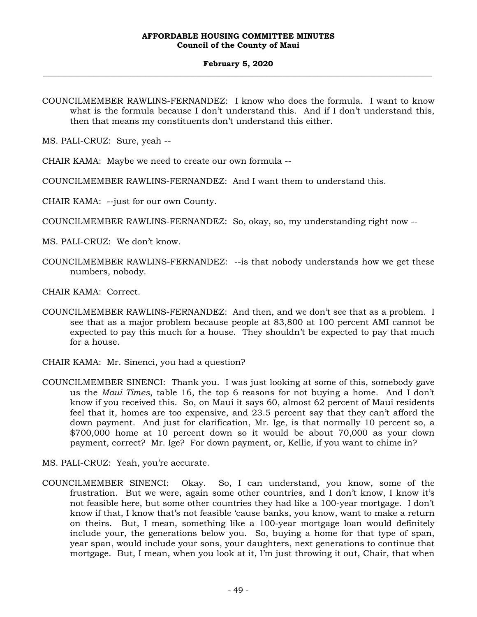#### **February 5, 2020 \_\_\_\_\_\_\_\_\_\_\_\_\_\_\_\_\_\_\_\_\_\_\_\_\_\_\_\_\_\_\_\_\_\_\_\_\_\_\_\_\_\_\_\_\_\_\_\_\_\_\_\_\_\_\_\_\_\_\_\_\_\_\_\_\_\_\_\_\_\_\_\_\_\_\_\_\_\_\_\_\_\_\_\_\_\_\_\_\_\_\_\_\_\_\_\_\_\_\_**

COUNCILMEMBER RAWLINS-FERNANDEZ: I know who does the formula. I want to know what is the formula because I don't understand this. And if I don't understand this, then that means my constituents don't understand this either.

MS. PALI-CRUZ: Sure, yeah --

CHAIR KAMA: Maybe we need to create our own formula --

COUNCILMEMBER RAWLINS-FERNANDEZ: And I want them to understand this.

CHAIR KAMA: --just for our own County.

COUNCILMEMBER RAWLINS-FERNANDEZ: So, okay, so, my understanding right now --

- MS. PALI-CRUZ: We don't know.
- COUNCILMEMBER RAWLINS-FERNANDEZ: --is that nobody understands how we get these numbers, nobody.

CHAIR KAMA: Correct.

- COUNCILMEMBER RAWLINS-FERNANDEZ: And then, and we don't see that as a problem. I see that as a major problem because people at 83,800 at 100 percent AMI cannot be expected to pay this much for a house. They shouldn't be expected to pay that much for a house.
- CHAIR KAMA: Mr. Sinenci, you had a question?
- COUNCILMEMBER SINENCI: Thank you. I was just looking at some of this, somebody gave us the *Maui Times*, table 16, the top 6 reasons for not buying a home. And I don't know if you received this. So, on Maui it says 60, almost 62 percent of Maui residents feel that it, homes are too expensive, and 23.5 percent say that they can't afford the down payment. And just for clarification, Mr. Ige, is that normally 10 percent so, a \$700,000 home at 10 percent down so it would be about 70,000 as your down payment, correct? Mr. Ige? For down payment, or, Kellie, if you want to chime in?
- MS. PALI-CRUZ: Yeah, you're accurate.
- COUNCILMEMBER SINENCI: Okay. So, I can understand, you know, some of the frustration. But we were, again some other countries, and I don't know, I know it's not feasible here, but some other countries they had like a 100-year mortgage. I don't know if that, I know that's not feasible 'cause banks, you know, want to make a return on theirs. But, I mean, something like a 100-year mortgage loan would definitely include your, the generations below you. So, buying a home for that type of span, year span, would include your sons, your daughters, next generations to continue that mortgage. But, I mean, when you look at it, I'm just throwing it out, Chair, that when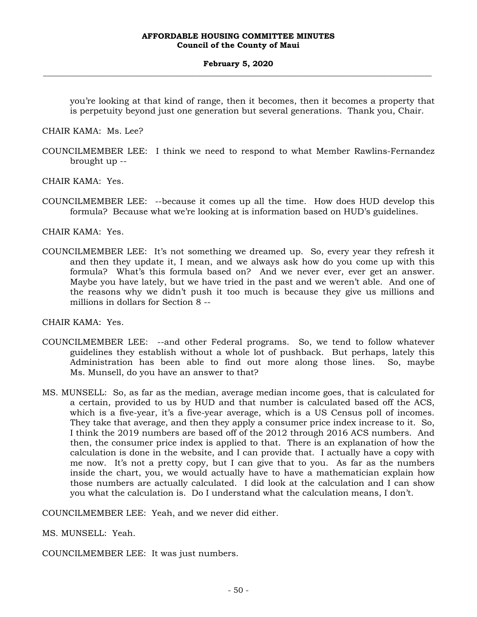you're looking at that kind of range, then it becomes, then it becomes a property that is perpetuity beyond just one generation but several generations. Thank you, Chair.

CHAIR KAMA: Ms. Lee?

COUNCILMEMBER LEE: I think we need to respond to what Member Rawlins-Fernandez brought up --

CHAIR KAMA: Yes.

COUNCILMEMBER LEE: --because it comes up all the time. How does HUD develop this formula? Because what we're looking at is information based on HUD's guidelines.

CHAIR KAMA: Yes.

COUNCILMEMBER LEE: It's not something we dreamed up. So, every year they refresh it and then they update it, I mean, and we always ask how do you come up with this formula? What's this formula based on? And we never ever, ever get an answer. Maybe you have lately, but we have tried in the past and we weren't able. And one of the reasons why we didn't push it too much is because they give us millions and millions in dollars for Section 8 --

CHAIR KAMA: Yes.

- COUNCILMEMBER LEE: --and other Federal programs. So, we tend to follow whatever guidelines they establish without a whole lot of pushback. But perhaps, lately this Administration has been able to find out more along those lines. So, maybe Ms. Munsell, do you have an answer to that?
- MS. MUNSELL: So, as far as the median, average median income goes, that is calculated for a certain, provided to us by HUD and that number is calculated based off the ACS, which is a five-year, it's a five-year average, which is a US Census poll of incomes. They take that average, and then they apply a consumer price index increase to it. So, I think the 2019 numbers are based off of the 2012 through 2016 ACS numbers. And then, the consumer price index is applied to that. There is an explanation of how the calculation is done in the website, and I can provide that. I actually have a copy with me now. It's not a pretty copy, but I can give that to you. As far as the numbers inside the chart, you, we would actually have to have a mathematician explain how those numbers are actually calculated. I did look at the calculation and I can show you what the calculation is. Do I understand what the calculation means, I don't.

COUNCILMEMBER LEE: Yeah, and we never did either.

MS. MUNSELL: Yeah.

COUNCILMEMBER LEE: It was just numbers.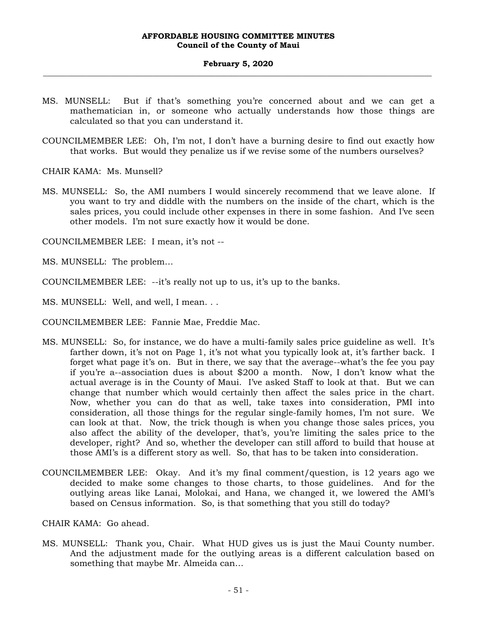- MS. MUNSELL: But if that's something you're concerned about and we can get a mathematician in, or someone who actually understands how those things are calculated so that you can understand it.
- COUNCILMEMBER LEE: Oh, I'm not, I don't have a burning desire to find out exactly how that works. But would they penalize us if we revise some of the numbers ourselves?

CHAIR KAMA: Ms. Munsell?

MS. MUNSELL: So, the AMI numbers I would sincerely recommend that we leave alone. If you want to try and diddle with the numbers on the inside of the chart, which is the sales prices, you could include other expenses in there in some fashion. And I've seen other models. I'm not sure exactly how it would be done.

COUNCILMEMBER LEE: I mean, it's not --

MS. MUNSELL: The problem…

COUNCILMEMBER LEE: --it's really not up to us, it's up to the banks.

MS. MUNSELL: Well, and well, I mean. . .

COUNCILMEMBER LEE: Fannie Mae, Freddie Mac.

- MS. MUNSELL: So, for instance, we do have a multi-family sales price guideline as well. It's farther down, it's not on Page 1, it's not what you typically look at, it's farther back. I forget what page it's on. But in there, we say that the average--what's the fee you pay if you're a--association dues is about \$200 a month. Now, I don't know what the actual average is in the County of Maui. I've asked Staff to look at that. But we can change that number which would certainly then affect the sales price in the chart. Now, whether you can do that as well, take taxes into consideration, PMI into consideration, all those things for the regular single-family homes, I'm not sure. We can look at that. Now, the trick though is when you change those sales prices, you also affect the ability of the developer, that's, you're limiting the sales price to the developer, right? And so, whether the developer can still afford to build that house at those AMI's is a different story as well. So, that has to be taken into consideration.
- COUNCILMEMBER LEE: Okay. And it's my final comment/question, is 12 years ago we decided to make some changes to those charts, to those guidelines. And for the outlying areas like Lanai, Molokai, and Hana, we changed it, we lowered the AMI's based on Census information. So, is that something that you still do today?

CHAIR KAMA: Go ahead.

MS. MUNSELL: Thank you, Chair. What HUD gives us is just the Maui County number. And the adjustment made for the outlying areas is a different calculation based on something that maybe Mr. Almeida can…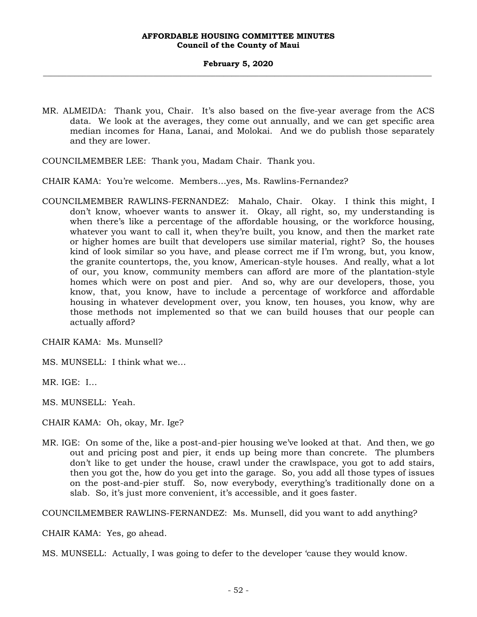MR. ALMEIDA: Thank you, Chair. It's also based on the five-year average from the ACS data. We look at the averages, they come out annually, and we can get specific area median incomes for Hana, Lanai, and Molokai. And we do publish those separately and they are lower.

COUNCILMEMBER LEE: Thank you, Madam Chair. Thank you.

CHAIR KAMA: You're welcome. Members…yes, Ms. Rawlins-Fernandez?

COUNCILMEMBER RAWLINS-FERNANDEZ: Mahalo, Chair. Okay. I think this might, I don't know, whoever wants to answer it. Okay, all right, so, my understanding is when there's like a percentage of the affordable housing, or the workforce housing, whatever you want to call it, when they're built, you know, and then the market rate or higher homes are built that developers use similar material, right? So, the houses kind of look similar so you have, and please correct me if I'm wrong, but, you know, the granite countertops, the, you know, American-style houses. And really, what a lot of our, you know, community members can afford are more of the plantation-style homes which were on post and pier. And so, why are our developers, those, you know, that, you know, have to include a percentage of workforce and affordable housing in whatever development over, you know, ten houses, you know, why are those methods not implemented so that we can build houses that our people can actually afford?

CHAIR KAMA: Ms. Munsell?

MS. MUNSELL: I think what we…

MR. IGE: I…

MS. MUNSELL: Yeah.

CHAIR KAMA: Oh, okay, Mr. Ige?

MR. IGE: On some of the, like a post-and-pier housing we've looked at that. And then, we go out and pricing post and pier, it ends up being more than concrete. The plumbers don't like to get under the house, crawl under the crawlspace, you got to add stairs, then you got the, how do you get into the garage. So, you add all those types of issues on the post-and-pier stuff. So, now everybody, everything's traditionally done on a slab. So, it's just more convenient, it's accessible, and it goes faster.

COUNCILMEMBER RAWLINS-FERNANDEZ: Ms. Munsell, did you want to add anything?

CHAIR KAMA: Yes, go ahead.

MS. MUNSELL: Actually, I was going to defer to the developer 'cause they would know.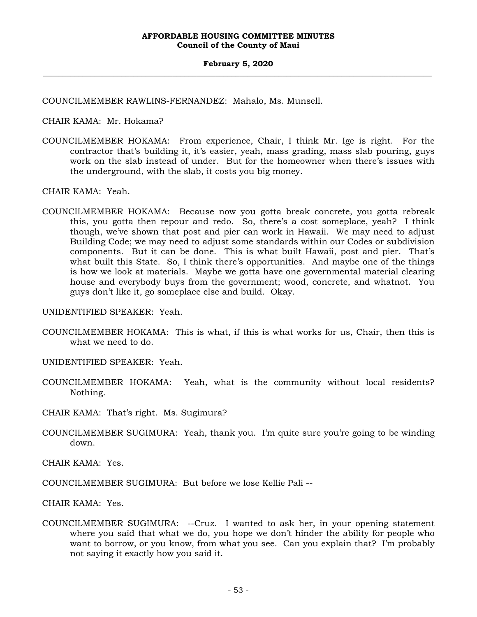COUNCILMEMBER RAWLINS-FERNANDEZ: Mahalo, Ms. Munsell.

CHAIR KAMA: Mr. Hokama?

COUNCILMEMBER HOKAMA: From experience, Chair, I think Mr. Ige is right. For the contractor that's building it, it's easier, yeah, mass grading, mass slab pouring, guys work on the slab instead of under. But for the homeowner when there's issues with the underground, with the slab, it costs you big money.

CHAIR KAMA: Yeah.

COUNCILMEMBER HOKAMA: Because now you gotta break concrete, you gotta rebreak this, you gotta then repour and redo. So, there's a cost someplace, yeah? I think though, we've shown that post and pier can work in Hawaii. We may need to adjust Building Code; we may need to adjust some standards within our Codes or subdivision components. But it can be done. This is what built Hawaii, post and pier. That's what built this State. So, I think there's opportunities. And maybe one of the things is how we look at materials. Maybe we gotta have one governmental material clearing house and everybody buys from the government; wood, concrete, and whatnot. You guys don't like it, go someplace else and build. Okay.

UNIDENTIFIED SPEAKER: Yeah.

COUNCILMEMBER HOKAMA: This is what, if this is what works for us, Chair, then this is what we need to do.

UNIDENTIFIED SPEAKER: Yeah.

- COUNCILMEMBER HOKAMA: Yeah, what is the community without local residents? Nothing.
- CHAIR KAMA: That's right. Ms. Sugimura?
- COUNCILMEMBER SUGIMURA: Yeah, thank you. I'm quite sure you're going to be winding down.

CHAIR KAMA: Yes.

COUNCILMEMBER SUGIMURA: But before we lose Kellie Pali --

CHAIR KAMA: Yes.

COUNCILMEMBER SUGIMURA: --Cruz. I wanted to ask her, in your opening statement where you said that what we do, you hope we don't hinder the ability for people who want to borrow, or you know, from what you see. Can you explain that? I'm probably not saying it exactly how you said it.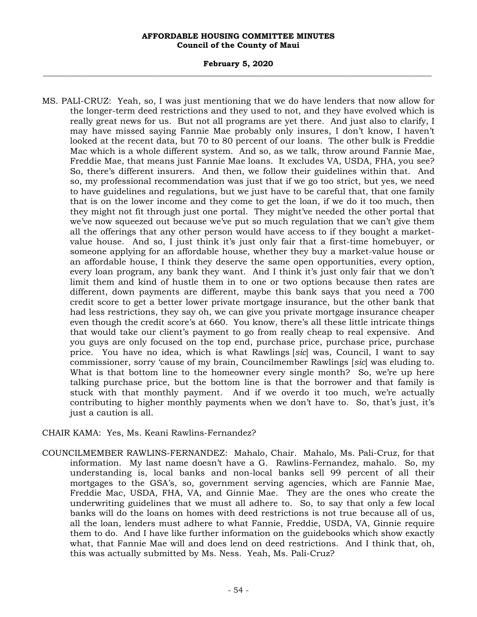#### **February 5, 2020 \_\_\_\_\_\_\_\_\_\_\_\_\_\_\_\_\_\_\_\_\_\_\_\_\_\_\_\_\_\_\_\_\_\_\_\_\_\_\_\_\_\_\_\_\_\_\_\_\_\_\_\_\_\_\_\_\_\_\_\_\_\_\_\_\_\_\_\_\_\_\_\_\_\_\_\_\_\_\_\_\_\_\_\_\_\_\_\_\_\_\_\_\_\_\_\_\_\_\_**

MS. PALI-CRUZ: Yeah, so, I was just mentioning that we do have lenders that now allow for the longer-term deed restrictions and they used to not, and they have evolved which is really great news for us. But not all programs are yet there. And just also to clarify, I may have missed saying Fannie Mae probably only insures, I don't know, I haven't looked at the recent data, but 70 to 80 percent of our loans. The other bulk is Freddie Mac which is a whole different system. And so, as we talk, throw around Fannie Mae, Freddie Mae, that means just Fannie Mae loans. It excludes VA, USDA, FHA, you see? So, there's different insurers. And then, we follow their guidelines within that. And so, my professional recommendation was just that if we go too strict, but yes, we need to have guidelines and regulations, but we just have to be careful that, that one family that is on the lower income and they come to get the loan, if we do it too much, then they might not fit through just one portal. They might've needed the other portal that we've now squeezed out because we've put so much regulation that we can't give them all the offerings that any other person would have access to if they bought a marketvalue house. And so, I just think it's just only fair that a first-time homebuyer, or someone applying for an affordable house, whether they buy a market-value house or an affordable house, I think they deserve the same open opportunities, every option, every loan program, any bank they want. And I think it's just only fair that we don't limit them and kind of hustle them in to one or two options because then rates are different, down payments are different, maybe this bank says that you need a 700 credit score to get a better lower private mortgage insurance, but the other bank that had less restrictions, they say oh, we can give you private mortgage insurance cheaper even though the credit score's at 660. You know, there's all these little intricate things that would take our client's payment to go from really cheap to real expensive. And you guys are only focused on the top end, purchase price, purchase price, purchase price. You have no idea, which is what Rawlings [*sic*] was, Council, I want to say commissioner, sorry 'cause of my brain, Councilmember Rawlings [*sic*] was eluding to. What is that bottom line to the homeowner every single month? So, we're up here talking purchase price, but the bottom line is that the borrower and that family is stuck with that monthly payment. And if we overdo it too much, we're actually contributing to higher monthly payments when we don't have to. So, that's just, it's just a caution is all.

## CHAIR KAMA: Yes, Ms. Keani Rawlins-Fernandez?

COUNCILMEMBER RAWLINS-FERNANDEZ: Mahalo, Chair. Mahalo, Ms. Pali-Cruz, for that information. My last name doesn't have a G. Rawlins-Fernandez, mahalo. So, my understanding is, local banks and non-local banks sell 99 percent of all their mortgages to the GSA's, so, government serving agencies, which are Fannie Mae, Freddie Mac, USDA, FHA, VA, and Ginnie Mae. They are the ones who create the underwriting guidelines that we must all adhere to. So, to say that only a few local banks will do the loans on homes with deed restrictions is not true because all of us, all the loan, lenders must adhere to what Fannie, Freddie, USDA, VA, Ginnie require them to do. And I have like further information on the guidebooks which show exactly what, that Fannie Mae will and does lend on deed restrictions. And I think that, oh, this was actually submitted by Ms. Ness. Yeah, Ms. Pali-Cruz?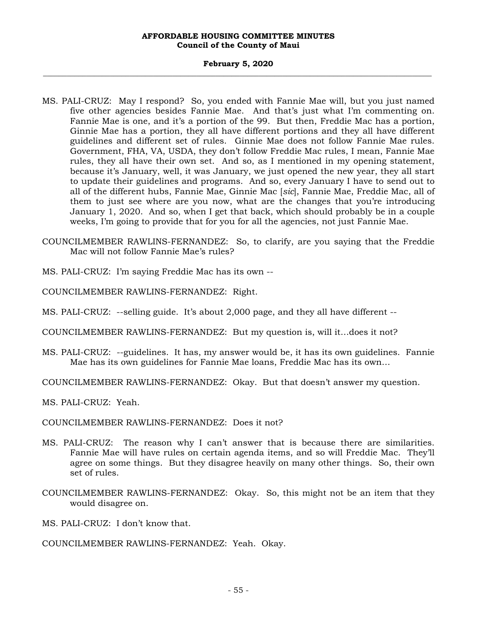#### **February 5, 2020 \_\_\_\_\_\_\_\_\_\_\_\_\_\_\_\_\_\_\_\_\_\_\_\_\_\_\_\_\_\_\_\_\_\_\_\_\_\_\_\_\_\_\_\_\_\_\_\_\_\_\_\_\_\_\_\_\_\_\_\_\_\_\_\_\_\_\_\_\_\_\_\_\_\_\_\_\_\_\_\_\_\_\_\_\_\_\_\_\_\_\_\_\_\_\_\_\_\_\_**

- MS. PALI-CRUZ: May I respond? So, you ended with Fannie Mae will, but you just named five other agencies besides Fannie Mae. And that's just what I'm commenting on. Fannie Mae is one, and it's a portion of the 99. But then, Freddie Mac has a portion, Ginnie Mae has a portion, they all have different portions and they all have different guidelines and different set of rules. Ginnie Mae does not follow Fannie Mae rules. Government, FHA, VA, USDA, they don't follow Freddie Mac rules, I mean, Fannie Mae rules, they all have their own set. And so, as I mentioned in my opening statement, because it's January, well, it was January, we just opened the new year, they all start to update their guidelines and programs. And so, every January I have to send out to all of the different hubs, Fannie Mae, Ginnie Mac [*sic*], Fannie Mae, Freddie Mac, all of them to just see where are you now, what are the changes that you're introducing January 1, 2020. And so, when I get that back, which should probably be in a couple weeks, I'm going to provide that for you for all the agencies, not just Fannie Mae.
- COUNCILMEMBER RAWLINS-FERNANDEZ: So, to clarify, are you saying that the Freddie Mac will not follow Fannie Mae's rules?
- MS. PALI-CRUZ: I'm saying Freddie Mac has its own --
- COUNCILMEMBER RAWLINS-FERNANDEZ: Right.
- MS. PALI-CRUZ: --selling guide. It's about 2,000 page, and they all have different --
- COUNCILMEMBER RAWLINS-FERNANDEZ: But my question is, will it…does it not?
- MS. PALI-CRUZ: --guidelines. It has, my answer would be, it has its own guidelines. Fannie Mae has its own guidelines for Fannie Mae loans, Freddie Mac has its own…
- COUNCILMEMBER RAWLINS-FERNANDEZ: Okay. But that doesn't answer my question.
- MS. PALI-CRUZ: Yeah.
- COUNCILMEMBER RAWLINS-FERNANDEZ: Does it not?
- MS. PALI-CRUZ: The reason why I can't answer that is because there are similarities. Fannie Mae will have rules on certain agenda items, and so will Freddie Mac. They'll agree on some things. But they disagree heavily on many other things. So, their own set of rules.
- COUNCILMEMBER RAWLINS-FERNANDEZ: Okay. So, this might not be an item that they would disagree on.
- MS. PALI-CRUZ: I don't know that.

COUNCILMEMBER RAWLINS-FERNANDEZ: Yeah. Okay.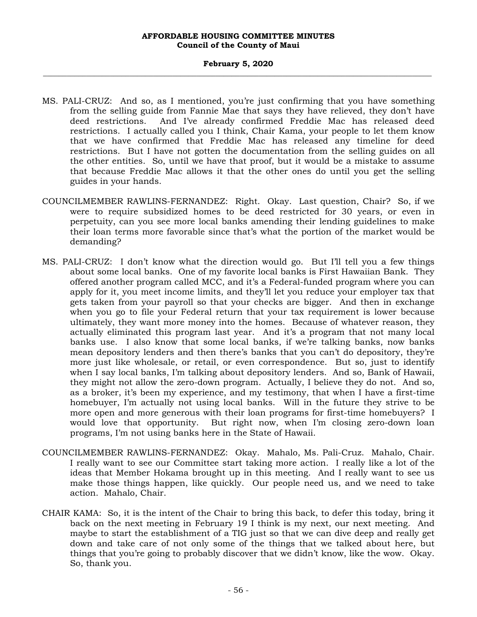#### **February 5, 2020 \_\_\_\_\_\_\_\_\_\_\_\_\_\_\_\_\_\_\_\_\_\_\_\_\_\_\_\_\_\_\_\_\_\_\_\_\_\_\_\_\_\_\_\_\_\_\_\_\_\_\_\_\_\_\_\_\_\_\_\_\_\_\_\_\_\_\_\_\_\_\_\_\_\_\_\_\_\_\_\_\_\_\_\_\_\_\_\_\_\_\_\_\_\_\_\_\_\_\_**

- MS. PALI-CRUZ: And so, as I mentioned, you're just confirming that you have something from the selling guide from Fannie Mae that says they have relieved, they don't have deed restrictions. And I've already confirmed Freddie Mac has released deed restrictions. I actually called you I think, Chair Kama, your people to let them know that we have confirmed that Freddie Mac has released any timeline for deed restrictions. But I have not gotten the documentation from the selling guides on all the other entities. So, until we have that proof, but it would be a mistake to assume that because Freddie Mac allows it that the other ones do until you get the selling guides in your hands.
- COUNCILMEMBER RAWLINS-FERNANDEZ: Right. Okay. Last question, Chair? So, if we were to require subsidized homes to be deed restricted for 30 years, or even in perpetuity, can you see more local banks amending their lending guidelines to make their loan terms more favorable since that's what the portion of the market would be demanding?
- MS. PALI-CRUZ: I don't know what the direction would go. But I'll tell you a few things about some local banks. One of my favorite local banks is First Hawaiian Bank. They offered another program called MCC, and it's a Federal-funded program where you can apply for it, you meet income limits, and they'll let you reduce your employer tax that gets taken from your payroll so that your checks are bigger. And then in exchange when you go to file your Federal return that your tax requirement is lower because ultimately, they want more money into the homes. Because of whatever reason, they actually eliminated this program last year. And it's a program that not many local banks use. I also know that some local banks, if we're talking banks, now banks mean depository lenders and then there's banks that you can't do depository, they're more just like wholesale, or retail, or even correspondence. But so, just to identify when I say local banks, I'm talking about depository lenders. And so, Bank of Hawaii, they might not allow the zero-down program. Actually, I believe they do not. And so, as a broker, it's been my experience, and my testimony, that when I have a first-time homebuyer, I'm actually not using local banks. Will in the future they strive to be more open and more generous with their loan programs for first-time homebuyers? I would love that opportunity. But right now, when I'm closing zero-down loan programs, I'm not using banks here in the State of Hawaii.
- COUNCILMEMBER RAWLINS-FERNANDEZ: Okay. Mahalo, Ms. Pali-Cruz. Mahalo, Chair. I really want to see our Committee start taking more action. I really like a lot of the ideas that Member Hokama brought up in this meeting. And I really want to see us make those things happen, like quickly. Our people need us, and we need to take action. Mahalo, Chair.
- CHAIR KAMA: So, it is the intent of the Chair to bring this back, to defer this today, bring it back on the next meeting in February 19 I think is my next, our next meeting. And maybe to start the establishment of a TIG just so that we can dive deep and really get down and take care of not only some of the things that we talked about here, but things that you're going to probably discover that we didn't know, like the wow. Okay. So, thank you.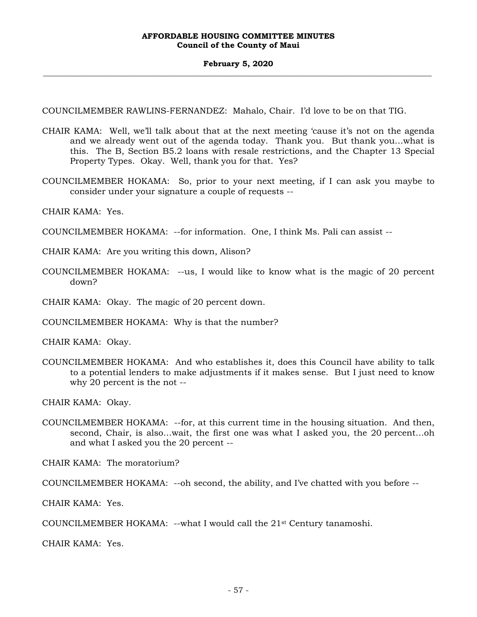COUNCILMEMBER RAWLINS-FERNANDEZ: Mahalo, Chair. I'd love to be on that TIG.

- CHAIR KAMA: Well, we'll talk about that at the next meeting 'cause it's not on the agenda and we already went out of the agenda today. Thank you. But thank you…what is this. The B, Section B5.2 loans with resale restrictions, and the Chapter 13 Special Property Types. Okay. Well, thank you for that. Yes?
- COUNCILMEMBER HOKAMA: So, prior to your next meeting, if I can ask you maybe to consider under your signature a couple of requests --

CHAIR KAMA: Yes.

- COUNCILMEMBER HOKAMA: --for information. One, I think Ms. Pali can assist --
- CHAIR KAMA: Are you writing this down, Alison?
- COUNCILMEMBER HOKAMA: --us, I would like to know what is the magic of 20 percent down?

CHAIR KAMA: Okay. The magic of 20 percent down.

COUNCILMEMBER HOKAMA: Why is that the number?

CHAIR KAMA: Okay.

COUNCILMEMBER HOKAMA: And who establishes it, does this Council have ability to talk to a potential lenders to make adjustments if it makes sense. But I just need to know why 20 percent is the not --

CHAIR KAMA: Okay.

COUNCILMEMBER HOKAMA: --for, at this current time in the housing situation. And then, second, Chair, is also…wait, the first one was what I asked you, the 20 percent…oh and what I asked you the 20 percent --

CHAIR KAMA: The moratorium?

COUNCILMEMBER HOKAMA: --oh second, the ability, and I've chatted with you before --

CHAIR KAMA: Yes.

COUNCILMEMBER HOKAMA: --what I would call the 21st Century tanamoshi.

CHAIR KAMA: Yes.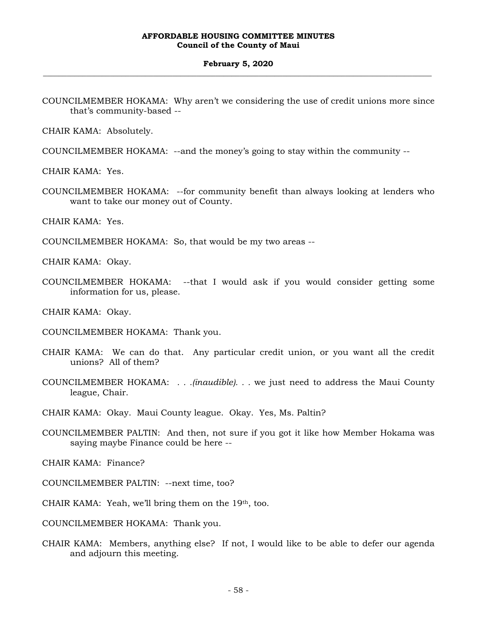#### **February 5, 2020 \_\_\_\_\_\_\_\_\_\_\_\_\_\_\_\_\_\_\_\_\_\_\_\_\_\_\_\_\_\_\_\_\_\_\_\_\_\_\_\_\_\_\_\_\_\_\_\_\_\_\_\_\_\_\_\_\_\_\_\_\_\_\_\_\_\_\_\_\_\_\_\_\_\_\_\_\_\_\_\_\_\_\_\_\_\_\_\_\_\_\_\_\_\_\_\_\_\_\_**

COUNCILMEMBER HOKAMA: Why aren't we considering the use of credit unions more since that's community-based --

CHAIR KAMA: Absolutely.

COUNCILMEMBER HOKAMA: --and the money's going to stay within the community --

CHAIR KAMA: Yes.

COUNCILMEMBER HOKAMA: --for community benefit than always looking at lenders who want to take our money out of County.

CHAIR KAMA: Yes.

COUNCILMEMBER HOKAMA: So, that would be my two areas --

CHAIR KAMA: Okay.

COUNCILMEMBER HOKAMA: --that I would ask if you would consider getting some information for us, please.

CHAIR KAMA: Okay.

- COUNCILMEMBER HOKAMA: Thank you.
- CHAIR KAMA: We can do that. Any particular credit union, or you want all the credit unions? All of them?
- COUNCILMEMBER HOKAMA: *. . .(inaudible). . .* we just need to address the Maui County league, Chair.

CHAIR KAMA: Okay. Maui County league. Okay. Yes, Ms. Paltin?

COUNCILMEMBER PALTIN: And then, not sure if you got it like how Member Hokama was saying maybe Finance could be here --

CHAIR KAMA: Finance?

- COUNCILMEMBER PALTIN: --next time, too?
- CHAIR KAMA: Yeah, we'll bring them on the 19th, too.

COUNCILMEMBER HOKAMA: Thank you.

CHAIR KAMA: Members, anything else? If not, I would like to be able to defer our agenda and adjourn this meeting.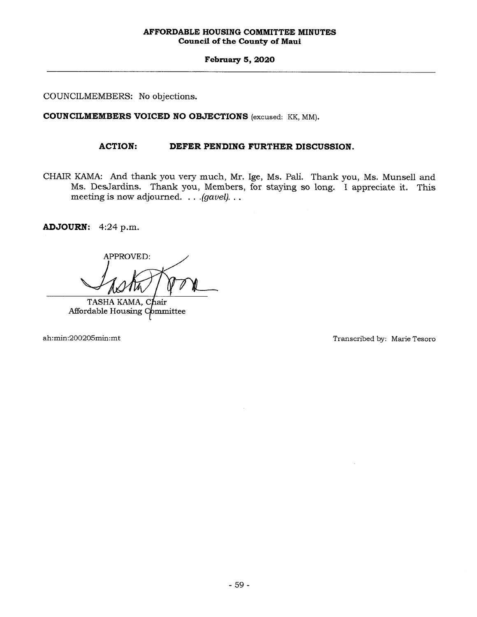**February 5, 2020** 

COUNCILMEMBERS: No objections.

**COUNCILMEMBERS VOICED NO OBJECTIONS** (excused: KK, MM).

## **ACTION: DEFER PENDING FURTHER DISCUSSION.**

CHAIR KAMA: And thank you very much, Mr. Ige, Ms. Pali. Thank you, Ms. Munsell and Ms. DesJardins. Thank you, Members, for staying so long. I appreciate it. This meeting is now adjourned. . . *.(gavel). . .* 

**ADJOURN:** 4:24 p.m.

APPROVED:

TASHA KAMA, Chair Affordable Housing Committee

ah:min:200205min:mt Transcribed by: Marie Tesoro